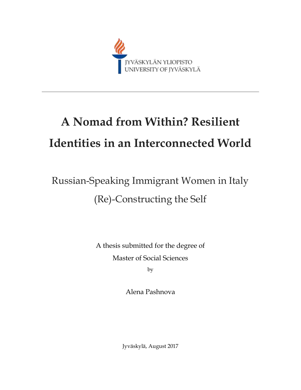

# **A Nomad from Within? Resilient Identities in an Interconnected World**

# Russian-Speaking Immigrant Women in Italy (Re)-Constructing the Self

A thesis submitted for the degree of Master of Social Sciences

by

Alena Pashnova

Jyväskylä, August 2017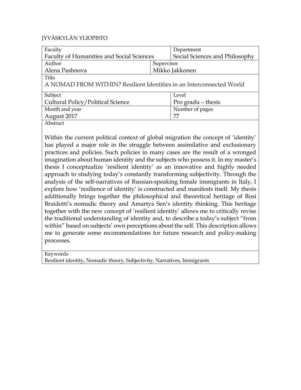#### JYVÄSKYLÄN YLIOPISTO

<span id="page-1-0"></span>

| Faculty                                                              |            | Department                     |  |  |
|----------------------------------------------------------------------|------------|--------------------------------|--|--|
| <b>Faculty of Humanities and Social Sciences</b>                     |            | Social Sciences and Philosophy |  |  |
| Author                                                               | Supervisor |                                |  |  |
| Alena Pashnova                                                       |            | Mikko Jakkonen                 |  |  |
| Title                                                                |            |                                |  |  |
| A NOMAD FROM WITHIN? Resilient Identities in an Interconnected World |            |                                |  |  |
| Subject                                                              |            | Level                          |  |  |
| Cultural Policy/Political Science                                    |            | Pro gradu - thesis             |  |  |
| Month and year                                                       |            | Number of pages                |  |  |
| August 2017                                                          |            | 77                             |  |  |
| Abstract                                                             |            |                                |  |  |

Within the current political context of global migration the concept of 'identity' has played a major role in the struggle between assimilative and exclusionary practices and policies. Such policies in many cases are the result of a wronged imagination about human identity and the subjects who possess it. In my master's thesis I conceptualize 'resilient identity' as an innovative and highly needed approach to studying today's constantly transforming subjectivity. Through the analysis of the self-narratives of Russian-speaking female immigrants in Italy, I explore how 'resilience of identity' is constructed and manifests itself. My thesis additionally brings together the philosophical and theoretical heritage of Rosi Braidotti's nomadic theory and Amartya Sen's identity thinking. This heritage together with the new concept of 'resilient identity' allows me to critically revise the traditional understanding of identity and, to describe a today's subject "from within" based on subjects' own perceptions about the self. This description allows me to generate some recommendations for future research and policy-making processes.

Keywords

Resilient identity, Nomadic theory, Subjectivity, Narratives, Immigrants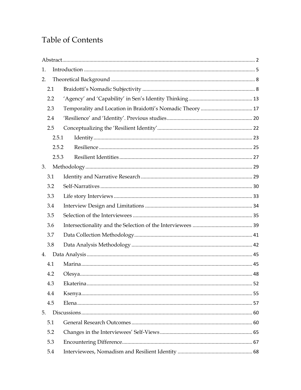# **Table of Contents**

| 1.  |       |  |
|-----|-------|--|
| 2.  |       |  |
| 2.1 |       |  |
| 2.2 |       |  |
| 2.3 |       |  |
| 2.4 |       |  |
| 2.5 |       |  |
|     | 2.5.1 |  |
|     | 2.5.2 |  |
|     | 2.5.3 |  |
| 3.  |       |  |
| 3.1 |       |  |
| 3.2 |       |  |
| 3.3 |       |  |
| 3.4 |       |  |
| 3.5 |       |  |
| 3.6 |       |  |
| 3.7 |       |  |
| 3.8 |       |  |
| 4.  |       |  |
| 4.1 |       |  |
| 4.2 |       |  |
| 4.3 |       |  |
| 4.4 |       |  |
| 4.5 |       |  |
| 5.  |       |  |
| 5.1 |       |  |
| 5.2 |       |  |
| 5.3 |       |  |
| 5.4 |       |  |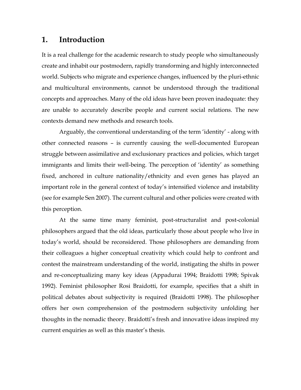### <span id="page-4-0"></span>**1. Introduction**

It is a real challenge for the academic research to study people who simultaneously create and inhabit our postmodern, rapidly transforming and highly interconnected world. Subjects who migrate and experience changes, influenced by the pluri-ethnic and multicultural environments, cannot be understood through the traditional concepts and approaches. Many of the old ideas have been proven inadequate: they are unable to accurately describe people and current social relations. The new contexts demand new methods and research tools.

Arguably, the conventional understanding of the term 'identity' - along with other connected reasons – is currently causing the well-documented European struggle between assimilative and exclusionary practices and policies, which target immigrants and limits their well-being. The perception of 'identity' as something fixed, anchored in culture nationality/ethnicity and even genes has played an important role in the general context of today's intensified violence and instability (see for example Sen 2007). The current cultural and other policies were created with this perception.

At the same time many feminist, post-structuralist and post-colonial philosophers argued that the old ideas, particularly those about people who live in today's world, should be reconsidered. Those philosophers are demanding from their colleagues a higher conceptual creativity which could help to confront and contest the mainstream understanding of the world, instigating the shifts in power and re-conceptualizing many key ideas (Appadurai 1994; Braidotti 1998; Spivak 1992). Feminist philosopher Rosi Braidotti, for example, specifies that a shift in political debates about subjectivity is required (Braidotti 1998). The philosopher offers her own comprehension of the postmodern subjectivity unfolding her thoughts in the nomadic theory. Braidotti's fresh and innovative ideas inspired my current enquiries as well as this master's thesis.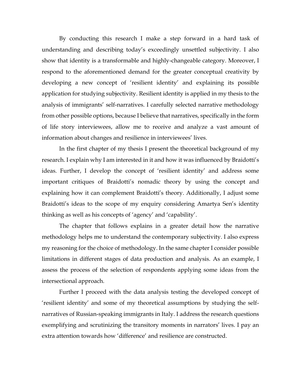By conducting this research I make a step forward in a hard task of understanding and describing today's exceedingly unsettled subjectivity. I also show that identity is a transformable and highly-changeable category. Moreover, I respond to the aforementioned demand for the greater conceptual creativity by developing a new concept of 'resilient identity' and explaining its possible application for studying subjectivity. Resilient identity is applied in my thesis to the analysis of immigrants' self-narratives. I carefully selected narrative methodology from other possible options, because I believe that narratives, specifically in the form of life story interviewees, allow me to receive and analyze a vast amount of information about changes and resilience in interviewees' lives.

In the first chapter of my thesis I present the theoretical background of my research. I explain why I am interested in it and how it was influenced by Braidotti's ideas. Further, I develop the concept of 'resilient identity' and address some important critiques of Braidotti's nomadic theory by using the concept and explaining how it can complement Braidotti's theory. Additionally, I adjust some Braidotti's ideas to the scope of my enquiry considering Amartya Sen's identity thinking as well as his concepts of 'agency' and 'capability'.

The chapter that follows explains in a greater detail how the narrative methodology helps me to understand the contemporary subjectivity. I also express my reasoning for the choice of methodology. In the same chapter I consider possible limitations in different stages of data production and analysis. As an example, I assess the process of the selection of respondents applying some ideas from the intersectional approach.

Further I proceed with the data analysis testing the developed concept of 'resilient identity' and some of my theoretical assumptions by studying the selfnarratives of Russian-speaking immigrants in Italy. I address the research questions exemplifying and scrutinizing the transitory moments in narrators' lives. I pay an extra attention towards how 'difference' and resilience are constructed.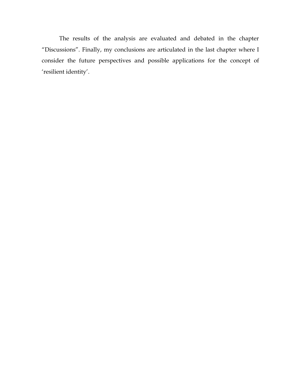The results of the analysis are evaluated and debated in the chapter "Discussions". Finally, my conclusions are articulated in the last chapter where I consider the future perspectives and possible applications for the concept of 'resilient identity'.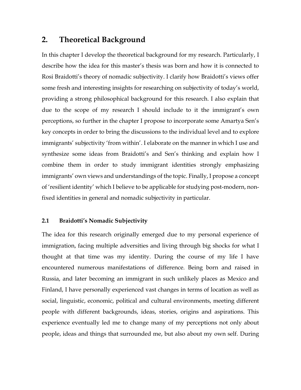## <span id="page-7-0"></span>**2. Theoretical Background**

In this chapter I develop the theoretical background for my research. Particularly, I describe how the idea for this master's thesis was born and how it is connected to Rosi Braidotti's theory of nomadic subjectivity. I clarify how Braidotti's views offer some fresh and interesting insights for researching on subjectivity of today's world, providing a strong philosophical background for this research. I also explain that due to the scope of my research I should include to it the immigrant's own perceptions, so further in the chapter I propose to incorporate some Amartya Sen's key concepts in order to bring the discussions to the individual level and to explore immigrants' subjectivity 'from within'. I elaborate on the manner in which I use and synthesize some ideas from Braidotti's and Sen's thinking and explain how I combine them in order to study immigrant identities strongly emphasizing immigrants' own views and understandings of the topic. Finally, I propose a concept of 'resilient identity' which I believe to be applicable for studying post-modern, nonfixed identities in general and nomadic subjectivity in particular.

#### <span id="page-7-1"></span>**2.1 Braidotti's Nomadic Subjectivity**

The idea for this research originally emerged due to my personal experience of immigration, facing multiple adversities and living through big shocks for what I thought at that time was my identity. During the course of my life I have encountered numerous manifestations of difference. Being born and raised in Russia, and later becoming an immigrant in such unlikely places as Mexico and Finland, I have personally experienced vast changes in terms of location as well as social, linguistic, economic, political and cultural environments, meeting different people with different backgrounds, ideas, stories, origins and aspirations. This experience eventually led me to change many of my perceptions not only about people, ideas and things that surrounded me, but also about my own self. During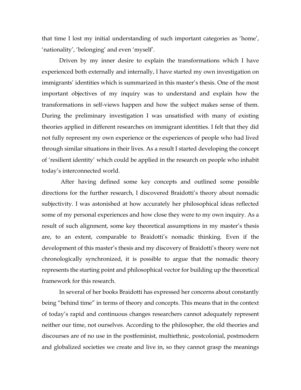that time I lost my initial understanding of such important categories as 'home', 'nationality', 'belonging' and even 'myself'.

Driven by my inner desire to explain the transformations which I have experienced both externally and internally, I have started my own investigation on immigrants' identities which is summarized in this master's thesis. One of the most important objectives of my inquiry was to understand and explain how the transformations in self-views happen and how the subject makes sense of them. During the preliminary investigation I was unsatisfied with many of existing theories applied in different researches on immigrant identities. I felt that they did not fully represent my own experience or the experiences of people who had lived through similar situations in their lives. As a result I started developing the concept of 'resilient identity' which could be applied in the research on people who inhabit today's interconnected world.

After having defined some key concepts and outlined some possible directions for the further research, I discovered Braidotti's theory about nomadic subjectivity. I was astonished at how accurately her philosophical ideas reflected some of my personal experiences and how close they were to my own inquiry. As a result of such alignment, some key theoretical assumptions in my master's thesis are, to an extent, comparable to Braidotti's nomadic thinking. Even if the development of this master's thesis and my discovery of Braidotti's theory were not chronologically synchronized, it is possible to argue that the nomadic theory represents the starting point and philosophical vector for building up the theoretical framework for this research.

In several of her books Braidotti has expressed her concerns about constantly being "behind time" in terms of theory and concepts. This means that in the context of today's rapid and continuous changes researchers cannot adequately represent neither our time, not ourselves. According to the philosopher, the old theories and discourses are of no use in the postfeminist, multiethnic, postcolonial, postmodern and globalized societies we create and live in, so they cannot grasp the meanings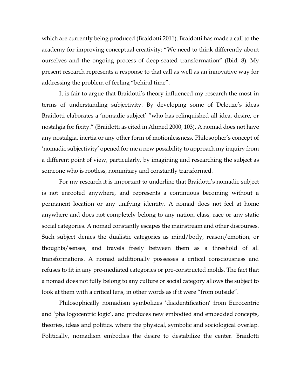which are currently being produced (Braidotti 2011). Braidotti has made a call to the academy for improving conceptual creativity: "We need to think differently about ourselves and the ongoing process of deep-seated transformation" (Ibid, 8). My present research represents a response to that call as well as an innovative way for addressing the problem of feeling "behind time".

It is fair to argue that Braidotti's theory influenced my research the most in terms of understanding subjectivity. By developing some of Deleuze's ideas Braidotti elaborates a 'nomadic subject' "who has relinquished all idea, desire, or nostalgia for fixity." (Braidotti as cited in Ahmed 2000, 103). A nomad does not have any nostalgia, inertia or any other form of motionlessness. Philosopher's concept of 'nomadic subjectivity' opened for me a new possibility to approach my inquiry from a different point of view, particularly, by imagining and researching the subject as someone who is rootless, nonunitary and constantly transformed.

For my research it is important to underline that Braidotti's nomadic subject is not enrooted anywhere, and represents a continuous becoming without a permanent location or any unifying identity. A nomad does not feel at home anywhere and does not completely belong to any nation, class, race or any static social categories. A nomad constantly escapes the mainstream and other discourses. Such subject denies the dualistic categories as mind/body, reason/emotion, or thoughts/senses, and travels freely between them as a threshold of all transformations. A nomad additionally possesses a critical consciousness and refuses to fit in any pre-mediated categories or pre-constructed molds. The fact that a nomad does not fully belong to any culture or social category allows the subject to look at them with a critical lens, in other words as if it were "from outside".

Philosophically nomadism symbolizes 'disidentification' from Eurocentric and 'phallogocentric logic', and produces new embodied and embedded concepts, theories, ideas and politics, where the physical, symbolic and sociological overlap. Politically, nomadism embodies the desire to destabilize the center. Braidotti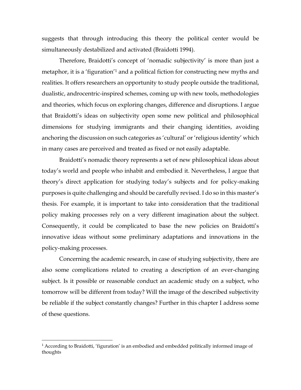suggests that through introducing this theory the political center would be simultaneously destabilized and activated (Braidotti 1994).

Therefore, Braidotti's concept of 'nomadic subjectivity' is more than just a metaphor, it is a 'figuration'<sup>1</sup> and a political fiction for constructing new myths and realities. It offers researchers an opportunity to study people outside the traditional, dualistic, androcentric-inspired schemes, coming up with new tools, methodologies and theories, which focus on exploring changes, difference and disruptions. I argue that Braidotti's ideas on subjectivity open some new political and philosophical dimensions for studying immigrants and their changing identities, avoiding anchoring the discussion on such categories as 'cultural' or 'religious identity' which in many cases are perceived and treated as fixed or not easily adaptable.

Braidotti's nomadic theory represents a set of new philosophical ideas about today's world and people who inhabit and embodied it. Nevertheless, I argue that theory's direct application for studying today's subjects and for policy-making purposes is quite challenging and should be carefully revised. I do so in this master's thesis. For example, it is important to take into consideration that the traditional policy making processes rely on a very different imagination about the subject. Consequently, it could be complicated to base the new policies on Braidotti's innovative ideas without some preliminary adaptations and innovations in the policy-making processes.

Concerning the academic research, in case of studying subjectivity, there are also some complications related to creating a description of an ever-changing subject. Is it possible or reasonable conduct an academic study on a subject, who tomorrow will be different from today? Will the image of the described subjectivity be reliable if the subject constantly changes? Further in this chapter I address some of these questions.

<sup>1</sup> According to Braidotti, 'figuration' is an embodied and embedded politically informed image of thoughts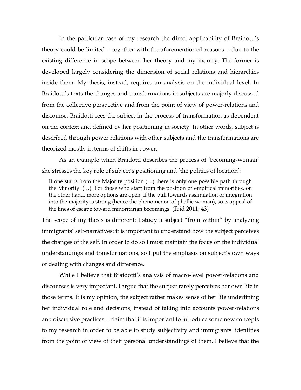In the particular case of my research the direct applicability of Braidotti's theory could be limited – together with the aforementioned reasons – due to the existing difference in scope between her theory and my inquiry. The former is developed largely considering the dimension of social relations and hierarchies inside them. My thesis, instead, requires an analysis on the individual level. In Braidotti's texts the changes and transformations in subjects are majorly discussed from the collective perspective and from the point of view of power-relations and discourse. Braidotti sees the subject in the process of transformation as dependent on the context and defined by her positioning in society. In other words, subject is described through power relations with other subjects and the transformations are theorized mostly in terms of shifts in power.

As an example when Braidotti describes the process of 'becoming-woman' she stresses the key role of subject's positioning and 'the politics of location':

If one starts from the Majority position (…) there is only one possible path through the Minority. (…). For those who start from the position of empirical minorities, on the other hand, more options are open. If the pull towards assimilation or integration into the majority is strong (hence the phenomenon of phallic woman), so is appeal of the lines of escape toward minoritarian becomings*.* (Ibid 2011, 43)

The scope of my thesis is different: I study a subject "from within" by analyzing immigrants' self-narratives: it is important to understand how the subject perceives the changes of the self. In order to do so I must maintain the focus on the individual understandings and transformations, so I put the emphasis on subject's own ways of dealing with changes and difference.

While I believe that Braidotti's analysis of macro-level power-relations and discourses is very important, I argue that the subject rarely perceives her own life in those terms. It is my opinion, the subject rather makes sense of her life underlining her individual role and decisions, instead of taking into accounts power-relations and discursive practices. I claim that it is important to introduce some new concepts to my research in order to be able to study subjectivity and immigrants' identities from the point of view of their personal understandings of them. I believe that the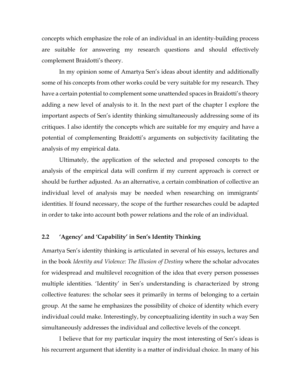concepts which emphasize the role of an individual in an identity-building process are suitable for answering my research questions and should effectively complement Braidotti's theory.

In my opinion some of Amartya Sen's ideas about identity and additionally some of his concepts from other works could be very suitable for my research. They have a certain potential to complement some unattended spaces in Braidotti's theory adding a new level of analysis to it. In the next part of the chapter I explore the important aspects of Sen's identity thinking simultaneously addressing some of its critiques. I also identify the concepts which are suitable for my enquiry and have a potential of complementing Braidotti's arguments on subjectivity facilitating the analysis of my empirical data.

Ultimately, the application of the selected and proposed concepts to the analysis of the empirical data will confirm if my current approach is correct or should be further adjusted. As an alternative, a certain combination of collective an individual level of analysis may be needed when researching on immigrants' identities. If found necessary, the scope of the further researches could be adapted in order to take into account both power relations and the role of an individual.

#### <span id="page-12-0"></span>**2.2 'Agency' and 'Capability' in Sen's Identity Thinking**

Amartya Sen's identity thinking is articulated in several of his essays, lectures and in the book *Identity and Violence: The Illusion of Destiny* where the scholar advocates for widespread and multilevel recognition of the idea that every person possesses multiple identities. 'Identity' in Sen's understanding is characterized by strong collective features: the scholar sees it primarily in terms of belonging to a certain group. At the same he emphasizes the possibility of choice of identity which every individual could make. Interestingly, by conceptualizing identity in such a way Sen simultaneously addresses the individual and collective levels of the concept.

I believe that for my particular inquiry the most interesting of Sen's ideas is his recurrent argument that identity is a matter of individual choice. In many of his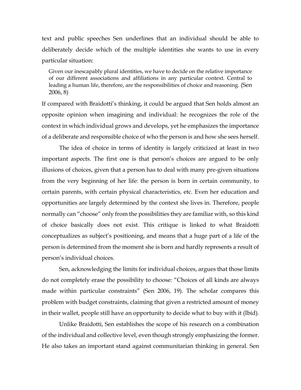text and public speeches Sen underlines that an individual should be able to deliberately decide which of the multiple identities she wants to use in every particular situation:

Given our inescapably plural identities, we have to decide on the relative importance of our different associations and affiliations in any particular context. Central to leading a human life, therefore, are the responsibilities of choice and reasoning. (Sen 2006, 8)

If compared with Braidotti's thinking, it could be argued that Sen holds almost an opposite opinion when imagining and individual: he recognizes the role of the context in which individual grows and develops, yet he emphasizes the importance of a deliberate and responsible choice of who the person is and how she sees herself.

The idea of choice in terms of identity is largely criticized at least in two important aspects. The first one is that person's choices are argued to be only illusions of choices, given that a person has to deal with many pre-given situations from the very beginning of her life: the person is born in certain community, to certain parents, with certain physical characteristics, etc. Even her education and opportunities are largely determined by the context she lives in. Therefore, people normally can "choose" only from the possibilities they are familiar with, so this kind of choice basically does not exist. This critique is linked to what Braidotti conceptualizes as subject's positioning, and means that a huge part of a life of the person is determined from the moment she is born and hardly represents a result of person's individual choices.

Sen, acknowledging the limits for individual choices, argues that those limits do not completely erase the possibility to choose: "Choices of all kinds are always made within particular constraints" (Sen 2006, 19). The scholar compares this problem with budget constraints, claiming that given a restricted amount of money in their wallet, people still have an opportunity to decide what to buy with it (Ibid).

Unlike Braidotti, Sen establishes the scope of his research on a combination of the individual and collective level, even though strongly emphasizing the former. He also takes an important stand against communitarian thinking in general. Sen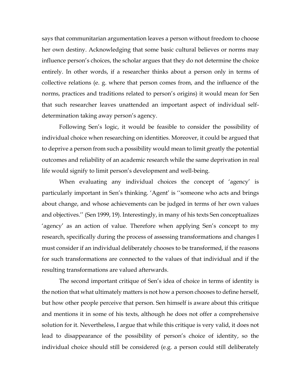says that communitarian argumentation leaves a person without freedom to choose her own destiny. Acknowledging that some basic cultural believes or norms may influence person's choices, the scholar argues that they do not determine the choice entirely. In other words, if a researcher thinks about a person only in terms of collective relations (e. g. where that person comes from, and the influence of the norms, practices and traditions related to person's origins) it would mean for Sen that such researcher leaves unattended an important aspect of individual selfdetermination taking away person's agency.

Following Sen's logic, it would be feasible to consider the possibility of individual choice when researching on identities. Moreover, it could be argued that to deprive a person from such a possibility would mean to limit greatly the potential outcomes and reliability of an academic research while the same deprivation in real life would signify to limit person's development and well-being.

When evaluating any individual choices the concept of 'agency' is particularly important in Sen's thinking. 'Agent' is ''someone who acts and brings about change, and whose achievements can be judged in terms of her own values and objectives.'' (Sen 1999, 19). Interestingly, in many of his texts Sen conceptualizes 'agency' as an action of value. Therefore when applying Sen's concept to my research, specifically during the process of assessing transformations and changes I must consider if an individual deliberately chooses to be transformed, if the reasons for such transformations are connected to the values of that individual and if the resulting transformations are valued afterwards.

The second important critique of Sen's idea of choice in terms of identity is the notion that what ultimately matters is not how a person chooses to define herself, but how other people perceive that person. Sen himself is aware about this critique and mentions it in some of his texts, although he does not offer a comprehensive solution for it. Nevertheless, I argue that while this critique is very valid, it does not lead to disappearance of the possibility of person's choice of identity, so the individual choice should still be considered (e.g. a person could still deliberately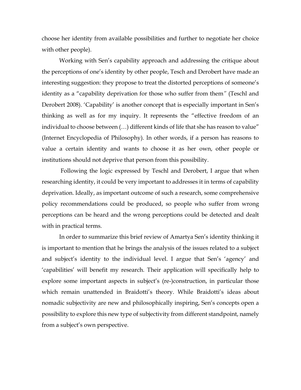choose her identity from available possibilities and further to negotiate her choice with other people).

Working with Sen's capability approach and addressing the critique about the perceptions of one's identity by other people, Tesch and Derobert have made an interesting suggestion: they propose to treat the distorted perceptions of someone's identity as a "capability deprivation for those who suffer from them*"* (Teschl and Derobert 2008). 'Capability' is another concept that is especially important in Sen's thinking as well as for my inquiry. It represents the "effective freedom of an individual to choose between (…) different kinds of life that she has reason to value" (Internet Encyclopedia of Philosophy). In other words, if a person has reasons to value a certain identity and wants to choose it as her own, other people or institutions should not deprive that person from this possibility.

Following the logic expressed by Teschl and Derobert, I argue that when researching identity, it could be very important to addresses it in terms of capability deprivation. Ideally, as important outcome of such a research, some comprehensive policy recommendations could be produced, so people who suffer from wrong perceptions can be heard and the wrong perceptions could be detected and dealt with in practical terms.

In order to summarize this brief review of Amartya Sen's identity thinking it is important to mention that he brings the analysis of the issues related to a subject and subject's identity to the individual level. I argue that Sen's 'agency' and 'capabilities' will benefit my research. Their application will specifically help to explore some important aspects in subject's (re-)construction, in particular those which remain unattended in Braidotti's theory. While Braidotti's ideas about nomadic subjectivity are new and philosophically inspiring, Sen's concepts open a possibility to explore this new type of subjectivity from different standpoint, namely from a subject's own perspective.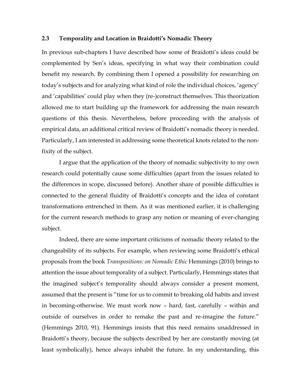#### <span id="page-16-0"></span>**2.3 Temporality and Location in Braidotti's Nomadic Theory**

In previous sub-chapters I have described how some of Braidotti's ideas could be complemented by Sen's ideas, specifying in what way their combination could benefit my research. By combining them I opened a possibility for researching on today's subjects and for analyzing what kind of role the individual choices, 'agency' and 'capabilities' could play when they (re-)construct themselves. This theorization allowed me to start building up the framework for addressing the main research questions of this thesis. Nevertheless, before proceeding with the analysis of empirical data, an additional critical review of Braidotti's nomadic theory is needed. Particularly, I am interested in addressing some theoretical knots related to the nonfixity of the subject.

I argue that the application of the theory of nomadic subjectivity to my own research could potentially cause some difficulties (apart from the issues related to the differences in scope, discussed before). Another share of possible difficulties is connected to the general fluidity of Braidotti's concepts and the idea of constant transformations entrenched in them. As it was mentioned earlier, it is challenging for the current research methods to grasp any notion or meaning of ever-changing subject.

Indeed, there are some important criticisms of nomadic theory related to the changeability of its subjects. For example, when reviewing some Braidotti's ethical proposals from the book *Transpositions: on Nomadic Ethic* Hemmings (2010) brings to attention the issue about temporality of a subject. Particularly, Hemmings states that the imagined subject's temporality should always consider a present moment, assumed that the present is "time for us to commit to breaking old habits and invest in becoming-otherwise. We must work now – hard, fast, carefully – within and outside of ourselves in order to remake the past and re-imagine the future." (Hemmings 2010, 91). Hemmings insists that this need remains unaddressed in Braidotti's theory, because the subjects described by her are constantly moving (at least symbolically), hence always inhabit the future. In my understanding, this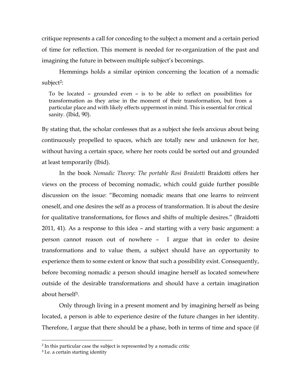critique represents a call for conceding to the subject a moment and a certain period of time for reflection. This moment is needed for re-organization of the past and imagining the future in between multiple subject's becomings.

Hemmings holds a similar opinion concerning the location of a nomadic subject<sup>2</sup>:

To be located – grounded even – is to be able to reflect on possibilities for transformation as they arise in the moment of their transformation, but from a particular place and with likely effects uppermost in mind. This is essential for critical sanity. (Ibid, 90).

By stating that, the scholar confesses that as a subject she feels anxious about being continuously propelled to spaces, which are totally new and unknown for her, without having a certain space, where her roots could be sorted out and grounded at least temporarily (Ibid).

In the book *Nomadic Theory: The portable Rosi Braidotti* Braidotti offers her views on the process of becoming nomadic, which could guide further possible discussion on the issue: "Becoming nomadic means that one learns to reinvent oneself, and one desires the self as a process of transformation. It is about the desire for qualitative transformations, for flows and shifts of multiple desires." (Braidotti 2011, 41). As a response to this idea – and starting with a very basic argument: a person cannot reason out of nowhere – I argue that in order to desire transformations and to value them, a subject should have an opportunity to experience them to some extent or know that such a possibility exist. Consequently, before becoming nomadic a person should imagine herself as located somewhere outside of the desirable transformations and should have a certain imagination about herself3.

Only through living in a present moment and by imagining herself as being located, a person is able to experience desire of the future changes in her identity. Therefore, I argue that there should be a phase, both in terms of time and space (if

<sup>&</sup>lt;sup>2</sup> In this particular case the subject is represented by a nomadic critic

<sup>&</sup>lt;sup>3</sup> I.e. a certain starting identity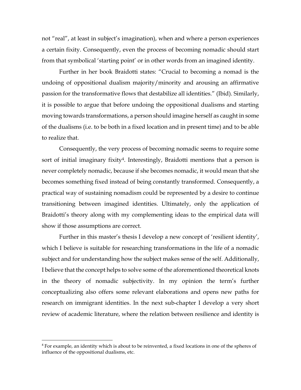not "real", at least in subject's imagination), when and where a person experiences a certain fixity. Consequently, even the process of becoming nomadic should start from that symbolical 'starting point' or in other words from an imagined identity.

Further in her book Braidotti states: "Crucial to becoming a nomad is the undoing of oppositional dualism majority/minority and arousing an affirmative passion for the transformative flows that destabilize all identities." (Ibid). Similarly, it is possible to argue that before undoing the oppositional dualisms and starting moving towards transformations, a person should imagine herself as caught in some of the dualisms (i.e. to be both in a fixed location and in present time) and to be able to realize that.

Consequently, the very process of becoming nomadic seems to require some sort of initial imaginary fixity<sup>4</sup>. Interestingly, Braidotti mentions that a person is never completely nomadic, because if she becomes nomadic, it would mean that she becomes something fixed instead of being constantly transformed. Consequently, a practical way of sustaining nomadism could be represented by a desire to continue transitioning between imagined identities. Ultimately, only the application of Braidotti's theory along with my complementing ideas to the empirical data will show if those assumptions are correct.

Further in this master's thesis I develop a new concept of 'resilient identity', which I believe is suitable for researching transformations in the life of a nomadic subject and for understanding how the subject makes sense of the self. Additionally, I believe that the concept helps to solve some of the aforementioned theoretical knots in the theory of nomadic subjectivity. In my opinion the term's further conceptualizing also offers some relevant elaborations and opens new paths for research on immigrant identities. In the next sub-chapter I develop a very short review of academic literature, where the relation between resilience and identity is

<sup>4</sup> For example, an identity which is about to be reinvented, a fixed locations in one of the spheres of influence of the oppositional dualisms, etc.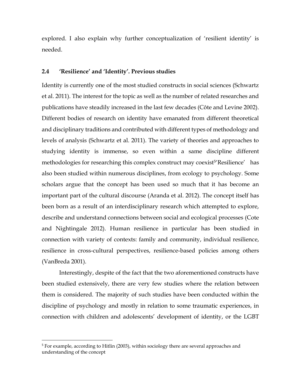explored. I also explain why further conceptualization of 'resilient identity' is needed.

#### <span id="page-19-0"></span>**2.4 'Resilience' and 'Identity'. Previous studies**

Identity is currently one of the most studied constructs in social sciences (Schwartz et al. 2011). The interest for the topic as well as the number of related researches and publications have steadily increased in the last few decades (Côte and Levine 2002). Different bodies of research on identity have emanated from different theoretical and disciplinary traditions and contributed with different types of methodology and levels of analysis (Schwartz et al. 2011). The variety of theories and approaches to studying identity is immense, so even within a same discipline different methodologies for researching this complex construct may coexist<sup>5</sup>'Resilience' has also been studied within numerous disciplines, from ecology to psychology. Some scholars argue that the concept has been used so much that it has become an important part of the cultural discourse (Aranda et al. 2012). The concept itself has been born as a result of an interdisciplinary research which attempted to explore, describe and understand connections between social and ecological processes (Cote and Nightingale 2012). Human resilience in particular has been studied in connection with variety of contexts: family and community, individual resilience, resilience in cross-cultural perspectives, resilience-based policies among others (VanBreda 2001).

Interestingly, despite of the fact that the two aforementioned constructs have been studied extensively, there are very few studies where the relation between them is considered. The majority of such studies have been conducted within the discipline of psychology and mostly in relation to some traumatic experiences, in connection with children and adolescents' development of identity, or the LGBT

<sup>5</sup> For example, according to Hitlin (2003), within sociology there are several approaches and understanding of the concept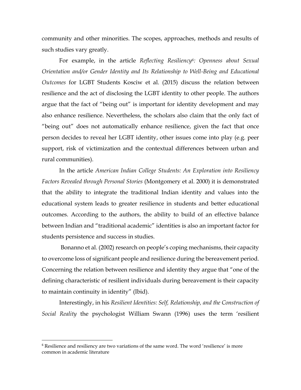community and other minorities. The scopes, approaches, methods and results of such studies vary greatly.

For example, in the article *Reflecting Resiliency6: Openness about Sexual Orientation and/or Gender Identity and Its Relationship to Well-Being and Educational Outcomes* for LGBT Students Kosciw et al. (2015) discuss the relation between resilience and the act of disclosing the LGBT identity to other people. The authors argue that the fact of "being out" is important for identity development and may also enhance resilience. Nevertheless, the scholars also claim that the only fact of "being out" does not automatically enhance resilience, given the fact that once person decides to reveal her LGBT identity, other issues come into play (e.g. peer support, risk of victimization and the contextual differences between urban and rural communities).

In the article *American Indian College Students: An Exploration into Resiliency Factors Revealed through Personal Stories* (Montgomery et al. 2000) it is demonstrated that the ability to integrate the traditional Indian identity and values into the educational system leads to greater resilience in students and better educational outcomes. According to the authors, the ability to build of an effective balance between Indian and "traditional academic" identities is also an important factor for students persistence and success in studies.

Bonanno et al. (2002) research on people's coping mechanisms, their capacity to overcome loss of significant people and resilience during the bereavement period. Concerning the relation between resilience and identity they argue that "one of the defining characteristic of resilient individuals during bereavement is their capacity to maintain continuity in identity" (Ibid).

Interestingly, in his *Resilient Identities: Self, Relationship, and the Construction of Social Reality* the psychologist William Swann (1996) uses the term 'resilient

<sup>&</sup>lt;sup>6</sup> Resilience and resiliency are two variations of the same word. The word 'resilience' is more common in academic literature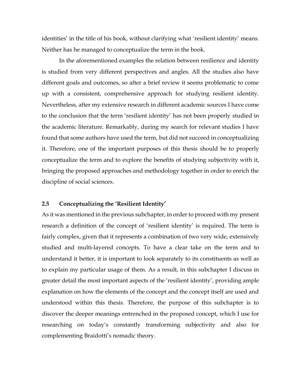identities' in the title of his book, without clarifying what 'resilient identity' means. Neither has he managed to conceptualize the term in the book.

In the aforementioned examples the relation between resilience and identity is studied from very different perspectives and angles. All the studies also have different goals and outcomes, so after a brief review it seems problematic to come up with a consistent, comprehensive approach for studying resilient identity. Nevertheless, after my extensive research in different academic sources I have come to the conclusion that the term 'resilient identity' has not been properly studied in the academic literature. Remarkably, during my search for relevant studies I have found that some authors have used the term, but did not succeed in conceptualizing it. Therefore, one of the important purposes of this thesis should be to properly conceptualize the term and to explore the benefits of studying subjectivity with it, bringing the proposed approaches and methodology together in order to enrich the discipline of social sciences.

#### <span id="page-21-0"></span>**2.5 Conceptualizing the 'Resilient Identity'**

As it was mentioned in the previous subchapter, in order to proceed with my present research a definition of the concept of 'resilient identity' is required. The term is fairly complex, given that it represents a combination of two very wide, extensively studied and multi-layered concepts. To have a clear take on the term and to understand it better, it is important to look separately to its constituents as well as to explain my particular usage of them. As a result, in this subchapter I discuss in greater detail the most important aspects of the 'resilient identity', providing ample explanation on how the elements of the concept and the concept itself are used and understood within this thesis. Therefore, the purpose of this subchapter is to discover the deeper meanings entrenched in the proposed concept, which I use for researching on today's constantly transforming subjectivity and also for complementing Braidotti's nomadic theory.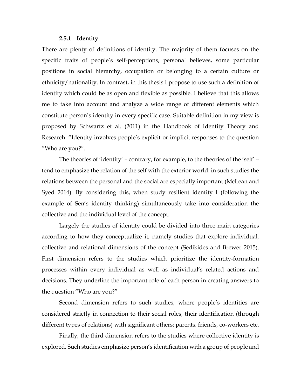#### **2.5.1 Identity**

<span id="page-22-0"></span>There are plenty of definitions of identity. The majority of them focuses on the specific traits of people's self-perceptions, personal believes, some particular positions in social hierarchy, occupation or belonging to a certain culture or ethnicity/nationality. In contrast, in this thesis I propose to use such a definition of identity which could be as open and flexible as possible. I believe that this allows me to take into account and analyze a wide range of different elements which constitute person's identity in every specific case. Suitable definition in my view is proposed by Schwartz et al. (2011) in the Handbook of Identity Theory and Research: "Identity involves people's explicit or implicit responses to the question "Who are you?".

The theories of 'identity' – contrary, for example, to the theories of the 'self' – tend to emphasize the relation of the self with the exterior world: in such studies the relations between the personal and the social are especially important (McLean and Syed 2014). By considering this, when study resilient identity I (following the example of Sen's identity thinking) simultaneously take into consideration the collective and the individual level of the concept.

Largely the studies of identity could be divided into three main categories according to how they conceptualize it, namely studies that explore individual, collective and relational dimensions of the concept (Sedikides and Brewer 2015). First dimension refers to the studies which prioritize the identity-formation processes within every individual as well as individual's related actions and decisions. They underline the important role of each person in creating answers to the question "Who are you?"

Second dimension refers to such studies, where people's identities are considered strictly in connection to their social roles, their identification (through different types of relations) with significant others: parents, friends, co-workers etc.

Finally, the third dimension refers to the studies where collective identity is explored. Such studies emphasize person's identification with a group of people and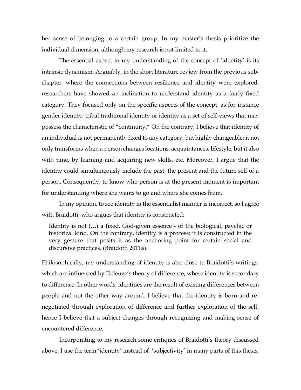her sense of belonging to a certain group. In my master's thesis prioritize the individual dimension, although my research is not limited to it.

The essential aspect in my understanding of the concept of 'identity' is its intrinsic dynamism. Arguably, in the short literature review from the previous subchapter, where the connections between resilience and identity were explored, researchers have showed an inclination to understand identity as a fairly fixed category. They focused only on the specific aspects of the concept, as for instance gender identity, tribal traditional identity or identity as a set of self-views that may possess the characteristic of "continuity." On the contrary, I believe that identity of an individual is not permanently fixed to any category, but highly changeable: it not only transforms when a person changes locations, acquaintances, lifestyle, but it also with time, by learning and acquiring new skills, etc. Moreover, I argue that the identity could simultaneously include the past, the present and the future self of a person. Consequently, to know who person is at the present moment is important for understanding where she wants to go and where she comes from.

In my opinion, to see identity in the essentialist manner is incorrect, so I agree with Braidotti, who argues that identity is constructed:

Identity is not (…) a fixed, God-given essence - of the biological, psychic or historical kind. On the contrary, identity is a process: it is constructed in the very gesture that posits it as the anchoring point for certain social and discursive practices. (Braidotti 2011a).

Philosophically, my understanding of identity is also close to Braidotti's writings, which are influenced by Deleuze's theory of difference, where identity is secondary to difference. In other words, identities are the result of existing differences between people and not the other way around. I believe that the identity is born and renegotiated through exploration of difference and further exploration of the self, hence I believe that a subject changes through recognizing and making sense of encountered difference.

Incorporating to my research some critiques of Braidotti's theory discussed above, I use the term 'identity' instead of 'subjectivity' in many parts of this thesis,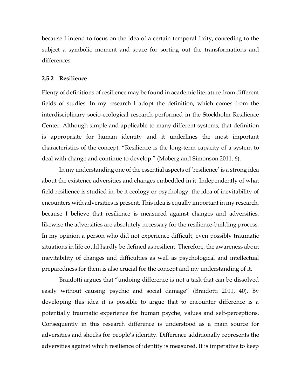because I intend to focus on the idea of a certain temporal fixity, conceding to the subject a symbolic moment and space for sorting out the transformations and differences.

#### <span id="page-24-0"></span>**2.5.2 Resilience**

Plenty of definitions of resilience may be found in academic literature from different fields of studies. In my research I adopt the definition, which comes from the interdisciplinary socio-ecological research performed in the Stockholm Resilience Center. Although simple and applicable to many different systems, that definition is appropriate for human identity and it underlines the most important characteristics of the concept: "Resilience is the long-term capacity of a system to deal with change and continue to develop." (Moberg and Simonson 2011, 6).

In my understanding one of the essential aspects of 'resilience' is a strong idea about the existence adversities and changes embedded in it. Independently of what field resilience is studied in, be it ecology or psychology, the idea of inevitability of encounters with adversities is present. This idea is equally important in my research, because I believe that resilience is measured against changes and adversities, likewise the adversities are absolutely necessary for the resilience-building process. In my opinion a person who did not experience difficult, even possibly traumatic situations in life could hardly be defined as resilient. Therefore, the awareness about inevitability of changes and difficulties as well as psychological and intellectual preparedness for them is also crucial for the concept and my understanding of it.

Braidotti argues that "undoing difference is not a task that can be dissolved easily without causing psychic and social damage" (Braidotti 2011, 40). By developing this idea it is possible to argue that to encounter difference is a potentially traumatic experience for human psyche, values and self-perceptions. Consequently in this research difference is understood as a main source for adversities and shocks for people's identity. Difference additionally represents the adversities against which resilience of identity is measured. It is imperative to keep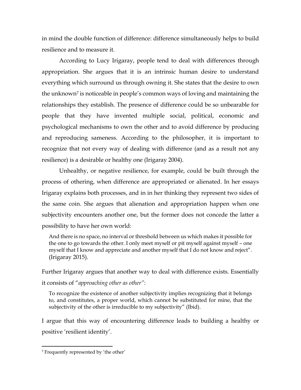in mind the double function of difference: difference simultaneously helps to build resilience and to measure it.

According to Lucy Irigaray, people tend to deal with differences through appropriation. She argues that it is an intrinsic human desire to understand everything which surround us through owning it. She states that the desire to own the unknown<sup>7</sup> is noticeable in people's common ways of loving and maintaining the relationships they establish. The presence of difference could be so unbearable for people that they have invented multiple social, political, economic and psychological mechanisms to own the other and to avoid difference by producing and reproducing sameness. According to the philosopher, it is important to recognize that not every way of dealing with difference (and as a result not any resilience) is a desirable or healthy one (Irigaray 2004).

Unhealthy, or negative resilience, for example, could be built through the process of othering, when difference are appropriated or alienated. In her essays Irigaray explains both processes, and in in her thinking they represent two sides of the same coin. She argues that alienation and appropriation happen when one subjectivity encounters another one, but the former does not concede the latter a possibility to have her own world:

And there is no space, no interval or threshold between us which makes it possible for the one to go towards the other. I only meet myself or pit myself against myself – one myself that I know and appreciate and another myself that I do not know and reject". (Irigaray 2015).

Further Irigaray argues that another way to deal with difference exists. Essentially it consists of "*approaching other as other"*:

To recognize the existence of another subjectivity implies recognizing that it belongs to, and constitutes, a proper world, which cannot be substituted for mine, that the subjectivity of the other is irreducible to my subjectivity" (Ibid).

I argue that this way of encountering difference leads to building a healthy or positive 'resilient identity'.

<sup>7</sup> Frequently represented by 'the other'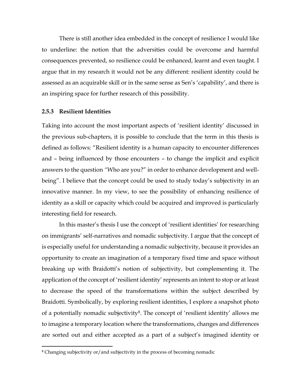There is still another idea embedded in the concept of resilience I would like to underline: the notion that the adversities could be overcome and harmful consequences prevented, so resilience could be enhanced, learnt and even taught. I argue that in my research it would not be any different: resilient identity could be assessed as an acquirable skill or in the same sense as Sen's 'capability', and there is an inspiring space for further research of this possibility.

#### <span id="page-26-0"></span>**2.5.3 Resilient Identities**

 $\overline{a}$ 

Taking into account the most important aspects of 'resilient identity' discussed in the previous sub-chapters, it is possible to conclude that the term in this thesis is defined as follows: "Resilient identity is a human capacity to encounter differences and – being influenced by those encounters – to change the implicit and explicit answers to the question *"*Who are you?" in order to enhance development and wellbeing". I believe that the concept could be used to study today's subjectivity in an innovative manner. In my view, to see the possibility of enhancing resilience of identity as a skill or capacity which could be acquired and improved is particularly interesting field for research.

In this master's thesis I use the concept of 'resilient identities' for researching on immigrants' self-narratives and nomadic subjectivity. I argue that the concept of is especially useful for understanding a nomadic subjectivity, because it provides an opportunity to create an imagination of a temporary fixed time and space without breaking up with Braidotti's notion of subjectivity, but complementing it. The application of the concept of 'resilient identity' represents an intent to stop or at least to decrease the speed of the transformations within the subject described by Braidotti. Symbolically, by exploring resilient identities, I explore a snapshot photo of a potentially nomadic subjectivity8. The concept of 'resilient identity' allows me to imagine a temporary location where the transformations, changes and differences are sorted out and either accepted as a part of a subject's imagined identity or

<sup>&</sup>lt;sup>8</sup> Changing subjectivity or/and subjectivity in the process of becoming nomadic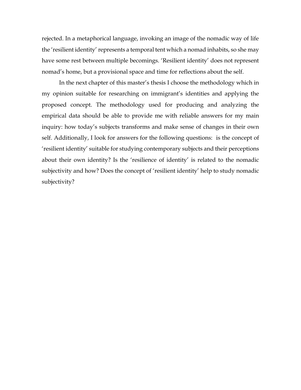rejected. In a metaphorical language, invoking an image of the nomadic way of life the 'resilient identity' represents a temporal tent which a nomad inhabits, so she may have some rest between multiple becomings. 'Resilient identity' does not represent nomad's home, but a provisional space and time for reflections about the self.

In the next chapter of this master's thesis I choose the methodology which in my opinion suitable for researching on immigrant's identities and applying the proposed concept. The methodology used for producing and analyzing the empirical data should be able to provide me with reliable answers for my main inquiry: how today's subjects transforms and make sense of changes in their own self. Additionally, I look for answers for the following questions: is the concept of 'resilient identity' suitable for studying contemporary subjects and their perceptions about their own identity? Is the 'resilience of identity' is related to the nomadic subjectivity and how? Does the concept of 'resilient identity' help to study nomadic subjectivity?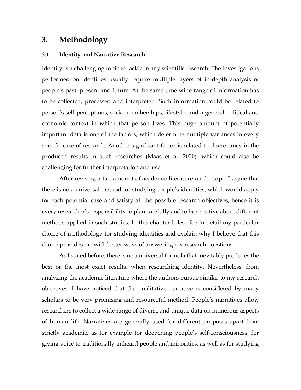### <span id="page-28-0"></span>**3. Methodology**

#### <span id="page-28-1"></span>**3.1 Identity and Narrative Research**

Identity is a challenging topic to tackle in any scientific research. The investigations performed on identities usually require multiple layers of in-depth analysis of people's past, present and future. At the same time wide range of information has to be collected, processed and interpreted. Such information could be related to person's self-perceptions, social memberships, lifestyle, and a general political and economic context in which that person lives. This huge amount of potentially important data is one of the factors, which determine multiple variances in every specific case of research. Another significant factor is related to discrepancy in the produced results in such researches (Maas et al. 2000), which could also be challenging for further interpretation and use.

After revising a fair amount of academic literature on the topic I argue that there is no a universal method for studying people's identities, which would apply for each potential case and satisfy all the possible research objectives, hence it is every researcher's responsibility to plan carefully and to be sensitive about different methods applied in such studies. In this chapter I describe in detail my particular choice of methodology for studying identities and explain why I believe that this choice provides me with better ways of answering my research questions.

As I stated before, there is no a universal formula that inevitably produces the best or the most exact results, when researching identity. Nevertheless, from analyzing the academic literature where the authors pursue similar to my research objectives, I have noticed that the qualitative narrative is considered by many scholars to be very promising and resourceful method. People's narratives allow researchers to collect a wide range of diverse and unique data on numerous aspects of human life. Narratives are generally used for different purposes apart from strictly academic, as for example for deepening people's self-consciousness, for giving voice to traditionally unheard people and minorities, as well as for studying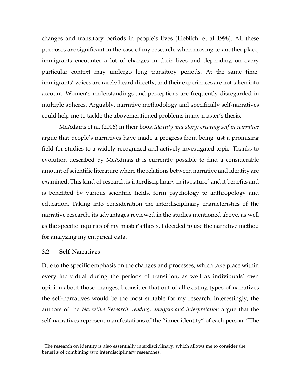changes and transitory periods in people's lives (Lieblich, et al 1998). All these purposes are significant in the case of my research: when moving to another place, immigrants encounter a lot of changes in their lives and depending on every particular context may undergo long transitory periods. At the same time, immigrants' voices are rarely heard directly, and their experiences are not taken into account. Women's understandings and perceptions are frequently disregarded in multiple spheres. Arguably, narrative methodology and specifically self-narratives could help me to tackle the abovementioned problems in my master's thesis.

McAdams et al. (2006) in their book *Identity and story: creating self in narrative* argue that people's narratives have made a progress from being just a promising field for studies to a widely-recognized and actively investigated topic. Thanks to evolution described by McAdmas it is currently possible to find a considerable amount of scientific literature where the relations between narrative and identity are examined. This kind of research is interdisciplinary in its nature<sup>9</sup> and it benefits and is benefited by various scientific fields, form psychology to anthropology and education. Taking into consideration the interdisciplinary characteristics of the narrative research, its advantages reviewed in the studies mentioned above, as well as the specific inquiries of my master's thesis, I decided to use the narrative method for analyzing my empirical data.

#### <span id="page-29-0"></span>**3.2 Self-Narratives**

 $\overline{a}$ 

Due to the specific emphasis on the changes and processes, which take place within every individual during the periods of transition, as well as individuals' own opinion about those changes, I consider that out of all existing types of narratives the self-narratives would be the most suitable for my research. Interestingly, the authors of the *Narrative Research: reading, analysis and interpretation* argue that the self-narratives represent manifestations of the "inner identity" of each person: "The

<sup>&</sup>lt;sup>9</sup> The research on identity is also essentially interdisciplinary, which allows me to consider the benefits of combining two interdisciplinary researches.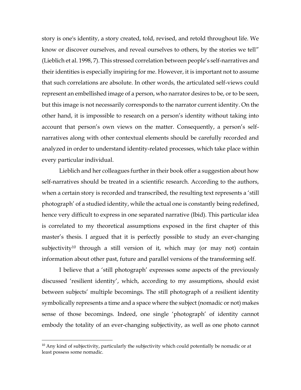story is one's identity, a story created, told, revised, and retold throughout life. We know or discover ourselves, and reveal ourselves to others, by the stories we tell" (Lieblich et al. 1998, 7). This stressed correlation between people's self-narratives and their identities is especially inspiring for me. However, it is important not to assume that such correlations are absolute. In other words, the articulated self-views could represent an embellished image of a person, who narrator desires to be, or to be seen, but this image is not necessarily corresponds to the narrator current identity. On the other hand, it is impossible to research on a person's identity without taking into account that person's own views on the matter. Consequently, a person's selfnarratives along with other contextual elements should be carefully recorded and analyzed in order to understand identity-related processes, which take place within every particular individual.

Lieblich and her colleagues further in their book offer a suggestion about how self-narratives should be treated in a scientific research. According to the authors, when a certain story is recorded and transcribed, the resulting text represents a 'still photograph' of a studied identity, while the actual one is constantly being redefined, hence very difficult to express in one separated narrative (Ibid). This particular idea is correlated to my theoretical assumptions exposed in the first chapter of this master's thesis. I argued that it is perfectly possible to study an ever-changing subjectivity<sup>10</sup> through a still version of it, which may (or may not) contain information about other past, future and parallel versions of the transforming self.

I believe that a 'still photograph' expresses some aspects of the previously discussed 'resilient identity', which, according to my assumptions, should exist between subjects' multiple becomings. The still photograph of a resilient identity symbolically represents a time and a space where the subject (nomadic or not) makes sense of those becomings. Indeed, one single 'photograph' of identity cannot embody the totality of an ever-changing subjectivity, as well as one photo cannot

<sup>&</sup>lt;sup>10</sup> Any kind of subjectivity, particularly the subjectivity which could potentially be nomadic or at least possess some nomadic.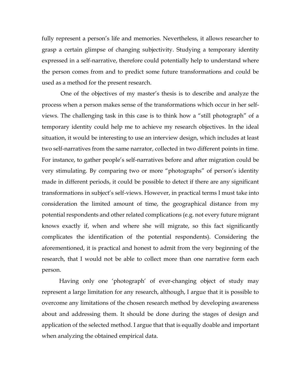fully represent a person's life and memories. Nevertheless, it allows researcher to grasp a certain glimpse of changing subjectivity. Studying a temporary identity expressed in a self-narrative, therefore could potentially help to understand where the person comes from and to predict some future transformations and could be used as a method for the present research.

One of the objectives of my master's thesis is to describe and analyze the process when a person makes sense of the transformations which occur in her selfviews. The challenging task in this case is to think how a "still photograph" of a temporary identity could help me to achieve my research objectives. In the ideal situation, it would be interesting to use an interview design, which includes at least two self-narratives from the same narrator, collected in two different points in time. For instance, to gather people's self-narratives before and after migration could be very stimulating. By comparing two or more "photographs" of person's identity made in different periods, it could be possible to detect if there are any significant transformations in subject's self-views. However, in practical terms I must take into consideration the limited amount of time, the geographical distance from my potential respondents and other related complications (e.g. not every future migrant knows exactly if, when and where she will migrate, so this fact significantly complicates the identification of the potential respondents). Considering the aforementioned, it is practical and honest to admit from the very beginning of the research, that I would not be able to collect more than one narrative form each person.

Having only one 'photograph' of ever-changing object of study may represent a large limitation for any research, although, I argue that it is possible to overcome any limitations of the chosen research method by developing awareness about and addressing them. It should be done during the stages of design and application of the selected method. I argue that that is equally doable and important when analyzing the obtained empirical data.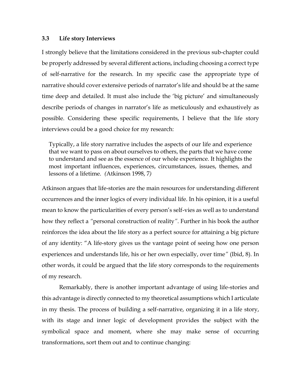#### <span id="page-32-0"></span>**3.3 Life story Interviews**

I strongly believe that the limitations considered in the previous sub-chapter could be properly addressed by several different actions, including choosing a correct type of self-narrative for the research. In my specific case the appropriate type of narrative should cover extensive periods of narrator's life and should be at the same time deep and detailed. It must also include the 'big picture' and simultaneously describe periods of changes in narrator's life as meticulously and exhaustively as possible. Considering these specific requirements, I believe that the life story interviews could be a good choice for my research:

Typically, a life story narrative includes the aspects of our life and experience that we want to pass on about ourselves to others, the parts that we have come to understand and see as the essence of our whole experience. It highlights the most important influences, experiences, circumstances, issues, themes, and lessons of a lifetime. *(*Atkinson 1998, 7*)*

Atkinson argues that life-stories are the main resources for understanding different occurrences and the inner logics of every individual life. In his opinion, it is a useful mean to know the particularities of every person's self-vies as well as to understand how they reflect a *"*personal construction of reality*"*. Further in his book the author reinforces the idea about the life story as a perfect source for attaining a big picture of any identity: "A life-story gives us the vantage point of seeing how one person experiences and understands life, his or her own especially, over time*"* (Ibid, 8). In other words, it could be argued that the life story corresponds to the requirements of my research.

Remarkably, there is another important advantage of using life-stories and this advantage is directly connected to my theoretical assumptions which I articulate in my thesis. The process of building a self-narrative, organizing it in a life story, with its stage and inner logic of development provides the subject with the symbolical space and moment, where she may make sense of occurring transformations, sort them out and to continue changing: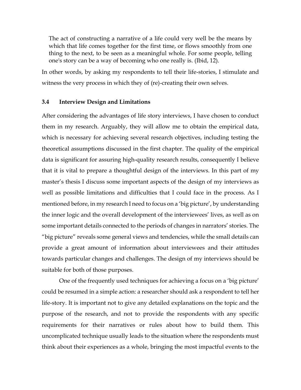The act of constructing a narrative of a life could very well be the means by which that life comes together for the first time, or flows smoothly from one thing to the next, to be seen as a meaningful whole. For some people, telling one's story can be a way of becoming who one really is. (Ibid, 12).

In other words, by asking my respondents to tell their life-stories, I stimulate and witness the very process in which they of (re)-creating their own selves.

#### <span id="page-33-0"></span>**3.4 Interview Design and Limitations**

After considering the advantages of life story interviews, I have chosen to conduct them in my research. Arguably, they will allow me to obtain the empirical data, which is necessary for achieving several research objectives, including testing the theoretical assumptions discussed in the first chapter. The quality of the empirical data is significant for assuring high-quality research results, consequently I believe that it is vital to prepare a thoughtful design of the interviews. In this part of my master's thesis I discuss some important aspects of the design of my interviews as well as possible limitations and difficulties that I could face in the process. As I mentioned before, in my research I need to focus on a 'big picture', by understanding the inner logic and the overall development of the interviewees' lives, as well as on some important details connected to the periods of changes in narrators' stories. The "big picture" reveals some general views and tendencies, while the small details can provide a great amount of information about interviewees and their attitudes towards particular changes and challenges. The design of my interviews should be suitable for both of those purposes.

One of the frequently used techniques for achieving a focus on a 'big picture' could be resumed in a simple action: a researcher should ask a respondent to tell her life-story. It is important not to give any detailed explanations on the topic and the purpose of the research, and not to provide the respondents with any specific requirements for their narratives or rules about how to build them. This uncomplicated technique usually leads to the situation where the respondents must think about their experiences as a whole, bringing the most impactful events to the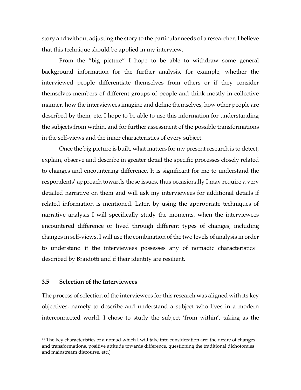story and without adjusting the story to the particular needs of a researcher. I believe that this technique should be applied in my interview.

From the "big picture" I hope to be able to withdraw some general background information for the further analysis, for example, whether the interviewed people differentiate themselves from others or if they consider themselves members of different groups of people and think mostly in collective manner, how the interviewees imagine and define themselves, how other people are described by them, etc. I hope to be able to use this information for understanding the subjects from within, and for further assessment of the possible transformations in the self-views and the inner characteristics of every subject.

Once the big picture is built, what matters for my present research is to detect, explain, observe and describe in greater detail the specific processes closely related to changes and encountering difference. It is significant for me to understand the respondents' approach towards those issues, thus occasionally I may require a very detailed narrative on them and will ask my interviewees for additional details if related information is mentioned. Later, by using the appropriate techniques of narrative analysis I will specifically study the moments, when the interviewees encountered difference or lived through different types of changes, including changes in self-views. I will use the combination of the two levels of analysis in order to understand if the interviewees possesses any of nomadic characteristics<sup>11</sup> described by Braidotti and if their identity are resilient.

#### <span id="page-34-0"></span>**3.5 Selection of the Interviewees**

 $\overline{a}$ 

The process of selection of the interviewees for this research was aligned with its key objectives, namely to describe and understand a subject who lives in a modern interconnected world. I chose to study the subject 'from within', taking as the

 $11$  The key characteristics of a nomad which I will take into consideration are: the desire of changes and transformations, positive attitude towards difference, questioning the traditional dichotomies and mainstream discourse, etc.)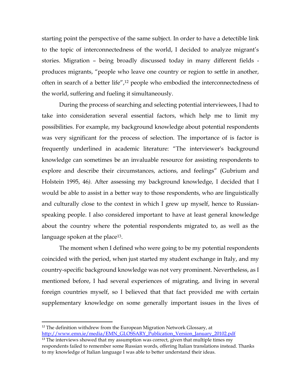starting point the perspective of the same subject. In order to have a detectible link to the topic of interconnectedness of the world, I decided to analyze migrant's stories. Migration – being broadly discussed today in many different fields produces migrants, "people who leave one country or region to settle in another, often in search of a better life",<sup>12</sup> people who embodied the interconnectedness of the world, suffering and fueling it simultaneously.

During the process of searching and selecting potential interviewees, I had to take into consideration several essential factors, which help me to limit my possibilities. For example, my background knowledge about potential respondents was very significant for the process of selection. The importance of is factor is frequently underlined in academic literature: "The interviewer's background knowledge can sometimes be an invaluable resource for assisting respondents to explore and describe their circumstances, actions, and feelings" (Gubrium and Holstein 1995, 46*).* After assessing my background knowledge, I decided that I would be able to assist in a better way to those respondents, who are linguistically and culturally close to the context in which I grew up myself, hence to Russianspeaking people. I also considered important to have at least general knowledge about the country where the potential respondents migrated to, as well as the language spoken at the place<sup>13</sup>.

The moment when I defined who were going to be my potential respondents coincided with the period, when just started my student exchange in Italy, and my country-specific background knowledge was not very prominent. Nevertheless, as I mentioned before, I had several experiences of migrating, and living in several foreign countries myself, so I believed that that fact provided me with certain supplementary knowledge on some generally important issues in the lives of

<sup>&</sup>lt;sup>12</sup> The definition withdrew from the European Migration Network Glossary, at [http://www.emn.ie/media/EMN\\_GLOSSARY\\_Publication\\_Version\\_January\\_20102.pdf](http://www.emn.ie/media/EMN_GLOSSARY_Publication_Version_January_20102.pdf)

 $13$  The interviews showed that my assumption was correct, given that multiple times my respondents failed to remember some Russian words, offering Italian translations instead. Thanks to my knowledge of Italian language I was able to better understand their ideas.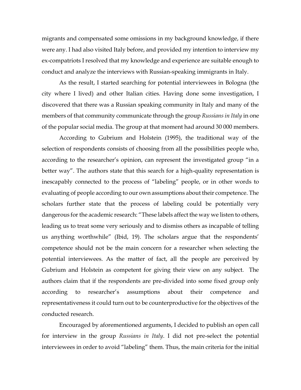migrants and compensated some omissions in my background knowledge, if there were any. I had also visited Italy before, and provided my intention to interview my ex-compatriots I resolved that my knowledge and experience are suitable enough to conduct and analyze the interviews with Russian-speaking immigrants in Italy.

As the result, I started searching for potential interviewees in Bologna (the city where I lived) and other Italian cities. Having done some investigation, I discovered that there was a Russian speaking community in Italy and many of the members of that community communicate through the group *Russians in Italy* in one of the popular social media. The group at that moment had around 30 000 members.

According to Gubrium and Holstein (1995), the traditional way of the selection of respondents consists of choosing from all the possibilities people who, according to the researcher's opinion, can represent the investigated group "in a better way". The authors state that this search for a high-quality representation is inescapably connected to the process of "labeling" people, or in other words to evaluating of people according to our own assumptions about their competence. The scholars further state that the process of labeling could be potentially very dangerous for the academic research: "These labels affect the way we listen to others, leading us to treat some very seriously and to dismiss others as incapable of telling us anything worthwhile" (Ibid, 19). The scholars argue that the respondents' competence should not be the main concern for a researcher when selecting the potential interviewees. As the matter of fact, all the people are perceived by Gubrium and Holstein as competent for giving their view on any subject. The authors claim that if the respondents are pre-divided into some fixed group only according to researcher's assumptions about their competence and representativeness it could turn out to be counterproductive for the objectives of the conducted research.

Encouraged by aforementioned arguments, I decided to publish an open call for interview in the group *Russians in Italy*. I did not pre-select the potential interviewees in order to avoid "labeling" them. Thus, the main criteria for the initial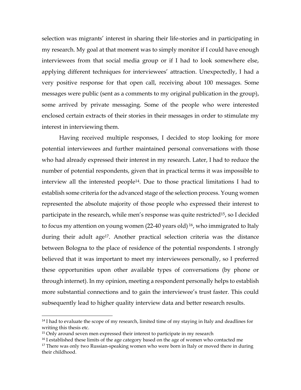selection was migrants' interest in sharing their life-stories and in participating in my research. My goal at that moment was to simply monitor if I could have enough interviewees from that social media group or if I had to look somewhere else, applying different techniques for interviewees' attraction. Unexpectedly, I had a very positive response for that open call, receiving about 100 messages. Some messages were public (sent as a comments to my original publication in the group), some arrived by private messaging. Some of the people who were interested enclosed certain extracts of their stories in their messages in order to stimulate my interest in interviewing them.

Having received multiple responses, I decided to stop looking for more potential interviewees and further maintained personal conversations with those who had already expressed their interest in my research. Later, I had to reduce the number of potential respondents, given that in practical terms it was impossible to interview all the interested people<sup>14</sup>. Due to those practical limitations I had to establish some criteria for the advanced stage of the selection process. Young women represented the absolute majority of those people who expressed their interest to participate in the research, while men's response was quite restricted<sup>15</sup>, so I decided to focus my attention on young women (22-40 years old) <sup>16</sup>, who immigrated to Italy during their adult age<sup>17</sup>. Another practical selection criteria was the distance between Bologna to the place of residence of the potential respondents. I strongly believed that it was important to meet my interviewees personally, so I preferred these opportunities upon other available types of conversations (by phone or through internet). In my opinion, meeting a respondent personally helps to establish more substantial connections and to gain the interviewee's trust faster. This could subsequently lead to higher quality interview data and better research results.

<sup>&</sup>lt;sup>14</sup> I had to evaluate the scope of my research, limited time of my staying in Italy and deadlines for writing this thesis etc.

<sup>&</sup>lt;sup>15</sup> Only around seven men expressed their interest to participate in my research

<sup>&</sup>lt;sup>16</sup> I established these limits of the age category based on the age of women who contacted me

<sup>&</sup>lt;sup>17</sup> There was only two Russian-speaking women who were born in Italy or moved there in during their childhood.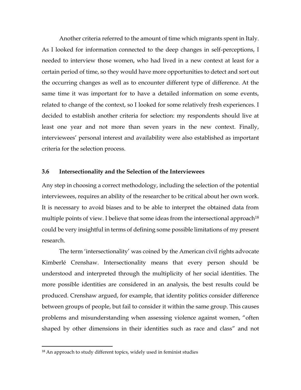Another criteria referred to the amount of time which migrants spent in Italy. As I looked for information connected to the deep changes in self-perceptions, I needed to interview those women, who had lived in a new context at least for a certain period of time, so they would have more opportunities to detect and sort out the occurring changes as well as to encounter different type of difference. At the same time it was important for to have a detailed information on some events, related to change of the context, so I looked for some relatively fresh experiences. I decided to establish another criteria for selection: my respondents should live at least one year and not more than seven years in the new context. Finally, interviewees' personal interest and availability were also established as important criteria for the selection process.

## **3.6 Intersectionality and the Selection of the Interviewees**

Any step in choosing a correct methodology, including the selection of the potential interviewees, requires an ability of the researcher to be critical about her own work. It is necessary to avoid biases and to be able to interpret the obtained data from multiple points of view. I believe that some ideas from the intersectional approach<sup>18</sup> could be very insightful in terms of defining some possible limitations of my present research.

The term 'intersectionality' was coined by the American civil rights advocate Kimberlé Crenshaw. Intersectionality means that every person should be understood and interpreted through the multiplicity of her social identities. The more possible identities are considered in an analysis, the best results could be produced. Crenshaw argued, for example, that identity politics consider difference between groups of people, but fail to consider it within the same group. This causes problems and misunderstanding when assessing violence against women, "often shaped by other dimensions in their identities such as race and class" and not

 $\ddot{\phantom{a}}$ 

<sup>&</sup>lt;sup>18</sup> An approach to study different topics, widely used in feminist studies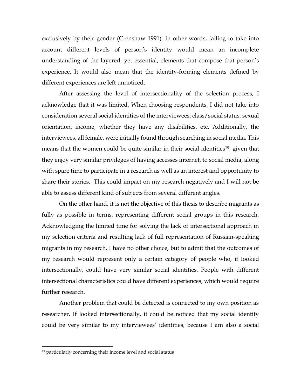exclusively by their gender (Crenshaw 1991). In other words, failing to take into account different levels of person's identity would mean an incomplete understanding of the layered, yet essential, elements that compose that person's experience. It would also mean that the identity-forming elements defined by different experiences are left unnoticed.

After assessing the level of intersectionality of the selection process, I acknowledge that it was limited. When choosing respondents, I did not take into consideration several social identities of the interviewees: class/social status, sexual orientation, income, whether they have any disabilities, etc. Additionally, the interviewees, all female, were initially found through searching in social media. This means that the women could be quite similar in their social identities<sup>19</sup>, given that they enjoy very similar privileges of having accesses internet, to social media, along with spare time to participate in a research as well as an interest and opportunity to share their stories. This could impact on my research negatively and I will not be able to assess different kind of subjects from several different angles.

On the other hand, it is not the objective of this thesis to describe migrants as fully as possible in terms, representing different social groups in this research. Acknowledging the limited time for solving the lack of intersectional approach in my selection criteria and resulting lack of full representation of Russian-speaking migrants in my research, I have no other choice, but to admit that the outcomes of my research would represent only a certain category of people who, if looked intersectionally, could have very similar social identities. People with different intersectional characteristics could have different experiences, which would require further research.

Another problem that could be detected is connected to my own position as researcher. If looked intersectionally, it could be noticed that my social identity could be very similar to my interviewees' identities, because I am also a social

 $\ddot{\phantom{a}}$ 

<sup>&</sup>lt;sup>19</sup> particularly concerning their income level and social status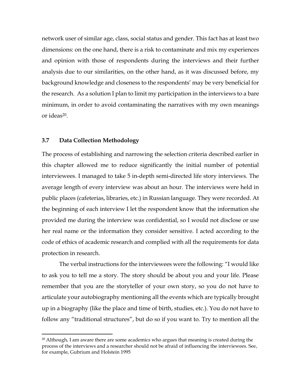network user of similar age, class, social status and gender. This fact has at least two dimensions: on the one hand, there is a risk to contaminate and mix my experiences and opinion with those of respondents during the interviews and their further analysis due to our similarities, on the other hand, as it was discussed before, my background knowledge and closeness to the respondents' may be very beneficial for the research. As a solution I plan to limit my participation in the interviews to a bare minimum, in order to avoid contaminating the narratives with my own meanings or ideas20.

### **3.7 Data Collection Methodology**

 $\overline{a}$ 

The process of establishing and narrowing the selection criteria described earlier in this chapter allowed me to reduce significantly the initial number of potential interviewees. I managed to take 5 in-depth semi-directed life story interviews. The average length of every interview was about an hour. The interviews were held in public places (cafeterias, libraries, etc.) in Russian language. They were recorded. At the beginning of each interview I let the respondent know that the information she provided me during the interview was confidential, so I would not disclose or use her real name or the information they consider sensitive. I acted according to the code of ethics of academic research and complied with all the requirements for data protection in research.

The verbal instructions for the interviewees were the following: "I would like to ask you to tell me a story. The story should be about you and your life. Please remember that you are the storyteller of your own story, so you do not have to articulate your autobiography mentioning all the events which are typically brought up in a biography (like the place and time of birth, studies, etc.). You do not have to follow any "traditional structures", but do so if you want to. Try to mention all the

 $20$  Although, I am aware there are some academics who argues that meaning is created during the process of the interviews and a researcher should not be afraid of influencing the interviewees. See, for example, Gubrium and Holstein 1995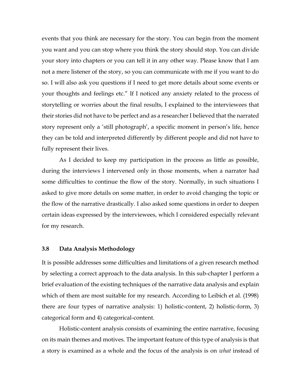events that you think are necessary for the story. You can begin from the moment you want and you can stop where you think the story should stop. You can divide your story into chapters or you can tell it in any other way. Please know that I am not a mere listener of the story, so you can communicate with me if you want to do so. I will also ask you questions if I need to get more details about some events or your thoughts and feelings etc." If I noticed any anxiety related to the process of storytelling or worries about the final results, I explained to the interviewees that their stories did not have to be perfect and as a researcher I believed that the narrated story represent only a 'still photograph', a specific moment in person's life, hence they can be told and interpreted differently by different people and did not have to fully represent their lives.

As I decided to keep my participation in the process as little as possible, during the interviews I intervened only in those moments, when a narrator had some difficulties to continue the flow of the story. Normally, in such situations I asked to give more details on some matter, in order to avoid changing the topic or the flow of the narrative drastically. I also asked some questions in order to deepen certain ideas expressed by the interviewees, which I considered especially relevant for my research.

#### **3.8 Data Analysis Methodology**

It is possible addresses some difficulties and limitations of a given research method by selecting a correct approach to the data analysis. In this sub-chapter I perform a brief evaluation of the existing techniques of the narrative data analysis and explain which of them are most suitable for my research. According to Leibich et al. (1998) there are four types of narrative analysis: 1) holistic-content, 2) holistic-form, 3) categorical form and 4) categorical-content.

Holistic-content analysis consists of examining the entire narrative, focusing on its main themes and motives. The important feature of this type of analysis is that a story is examined as a whole and the focus of the analysis is on *what* instead of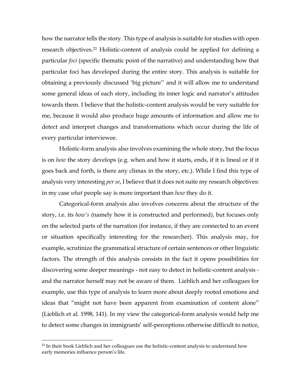how the narrator tells the story. This type of analysis is suitable for studies with open research objectives.<sup>21</sup> Holistic-content of analysis could be applied for defining a particular *foci* (specific thematic point of the narrative) and understanding how that particular foci has developed during the entire story. This analysis is suitable for obtaining a previously discussed 'big picture'' and it will allow me to understand some general ideas of each story, including its inner logic and narrator's attitudes towards them. I believe that the holistic-content analysis would be very suitable for me, because it would also produce huge amounts of information and allow me to detect and interpret changes and transformations which occur during the life of every particular interviewee.

Holistic-form analysis also involves examining the whole story, but the focus is on *how* the story develops (e.g. when and how it starts, ends, if it is lineal or if it goes back and forth, is there any climax in the story, etc.). While I find this type of analysis very interesting *per se*, I believe that it does not suite my research objectives: in my case *what* people say is more important than *how* they do it.

Categorical-form analysis also involves concerns about the structure of the story, i.e. its *how's (*namely how it is constructed and performed*)*, but focuses only on the selected parts of the narration (for instance, if they are connected to an event or situation specifically interesting for the researcher). This analysis may, for example, scrutinize the grammatical structure of certain sentences or other linguistic factors. The strength of this analysis consists in the fact it opens possibilities for discovering some deeper meanings - not easy to detect in holistic-content analysis and the narrator herself may not be aware of them. Lieblich and her colleagues for example, use this type of analysis to learn more about deeply rooted emotions and ideas that "might not have been apparent from examination of content alone" (Lieblich et al. 1998, 141). In my view the categorical-form analysis would help me to detect some changes in immigrants' self-perceptions otherwise difficult to notice,

 $21$  In their book Lieblich and her colleagues use the holistic-content analysis to understand how early memories influence person's life.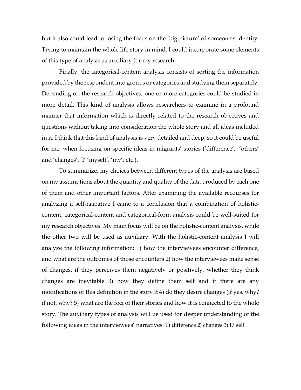but it also could lead to losing the focus on the 'big picture' of someone's identity. Trying to maintain the whole life story in mind, I could incorporate some elements of this type of analysis as auxiliary for my research.

Finally, the categorical-content analysis consists of sorting the information provided by the respondent into groups or categories and studying them separately. Depending on the research objectives, one or more categories could be studied in more detail. This kind of analysis allows researchers to examine in a profound manner that information which is directly related to the research objectives and questions without taking into consideration the whole story and all ideas included in it. I think that this kind of analysis is very detailed and deep, so it could be useful for me, when focusing on specific ideas in migrants' stories ('difference', 'others' and 'changes', 'I' 'myself', 'my', etc.).

To summarize, my choices between different types of the analysis are based on my assumptions about the quantity and quality of the data produced by each one of them and other important factors. After examining the available recourses for analyzing a self-narrative I came to a conclusion that a combination of holisticcontent, categorical-content and categorical-form analysis could be well-suited for my research objectives. My main focus will be on the holistic-content analysis, while the other two will be used as auxiliary. With the holistic-content analysis I will analyze the following information: 1) how the interviewees encounter difference, and what are the outcomes of those encounters 2) how the interviewees make sense of changes, if they perceives them negatively or positively, whether they think changes are inevitable 3) how they define them self and if there are any modifications of this definition in the story it 4) do they desire changes (if yes, why? if not, why? 5) what are the foci of their stories and how it is connected to the whole story. The auxiliary types of analysis will be used for deeper understanding of the following ideas in the interviewees' narratives: 1) difference 2) changes 3) I/ self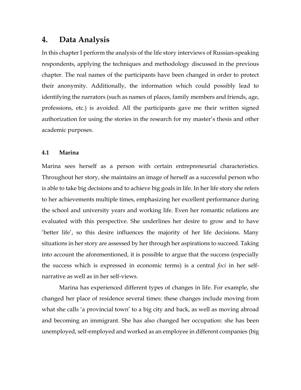# **4. Data Analysis**

In this chapter I perform the analysis of the life story interviews of Russian-speaking respondents, applying the techniques and methodology discussed in the previous chapter. The real names of the participants have been changed in order to protect their anonymity. Additionally, the information which could possibly lead to identifying the narrators (such as names of places, family members and friends, age, professions, etc.) is avoided. All the participants gave me their written signed authorization for using the stories in the research for my master's thesis and other academic purposes.

## **4.1 Marina**

Marina sees herself as a person with certain entrepreneurial characteristics. Throughout her story, she maintains an image of herself as a successful person who is able to take big decisions and to achieve big goals in life. In her life story she refers to her achievements multiple times, emphasizing her excellent performance during the school and university years and working life. Even her romantic relations are evaluated with this perspective. She underlines her desire to grow and to have 'better life', so this desire influences the majority of her life decisions. Many situations in her story are assessed by her through her aspirations to succeed. Taking into account the aforementioned, it is possible to argue that the success (especially the success which is expressed in economic terms) is a central *foci* in her selfnarrative as well as in her self-views.

Marina has experienced different types of changes in life. For example, she changed her place of residence several times: these changes include moving from what she calls 'a provincial town' to a big city and back, as well as moving abroad and becoming an immigrant. She has also changed her occupation: she has been unemployed, self-employed and worked as an employee in different companies (big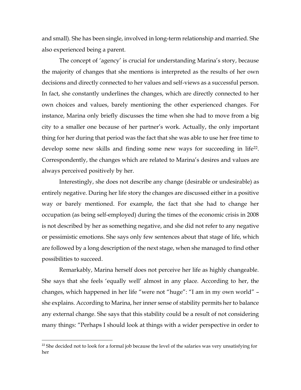and small). She has been single, involved in long-term relationship and married. She also experienced being a parent.

The concept of 'agency' is crucial for understanding Marina's story, because the majority of changes that she mentions is interpreted as the results of her own decisions and directly connected to her values and self-views as a successful person. In fact, she constantly underlines the changes, which are directly connected to her own choices and values, barely mentioning the other experienced changes. For instance, Marina only briefly discusses the time when she had to move from a big city to a smaller one because of her partner's work. Actually, the only important thing for her during that period was the fact that she was able to use her free time to develop some new skills and finding some new ways for succeeding in life22. Correspondently, the changes which are related to Marina's desires and values are always perceived positively by her.

Interestingly, she does not describe any change (desirable or undesirable) as entirely negative. During her life story the changes are discussed either in a positive way or barely mentioned. For example, the fact that she had to change her occupation (as being self-employed) during the times of the economic crisis in 2008 is not described by her as something negative, and she did not refer to any negative or pessimistic emotions. She says only few sentences about that stage of life, which are followed by a long description of the next stage, when she managed to find other possibilities to succeed.

Remarkably, Marina herself does not perceive her life as highly changeable. She says that she feels 'equally well' almost in any place. According to her, the changes, which happened in her life "were not "huge": "I am in my own world" – she explains. According to Marina, her inner sense of stability permits her to balance any external change. She says that this stability could be a result of not considering many things: "Perhaps I should look at things with a wider perspective in order to

<sup>&</sup>lt;sup>22</sup> She decided not to look for a formal job because the level of the salaries was very unsatisfying for her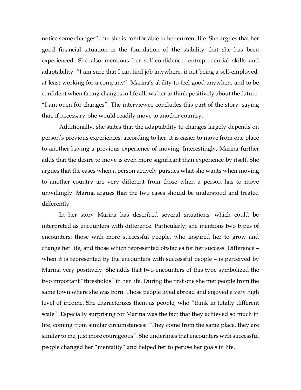notice some changes", but she is comfortable in her current life. She argues that her good financial situation is the foundation of the stability that she has been experienced. She also mentions her self-confidence, entrepreneurial skills and adaptability: "I am sure that I can find job anywhere, if not being a self-employed, at least working for a company". Marina's ability to feel good anywhere and to be confident when facing changes in life allows her to think positively about the future: "I am open for changes". The interviewee concludes this part of the story, saying that, if necessary, she would readily move to another country.

Additionally, she states that the adaptability to changes largely depends on person's previous experiences: according to her, it is easier to move from one place to another having a previous experience of moving. Interestingly, Marina further adds that the desire to move is even more significant than experience by itself. She argues that the cases when a person actively pursues what she wants when moving to another country are very different from those when a person has to move unwillingly. Marina argues that the two cases should be understood and treated differently.

In her story Marina has described several situations, which could be interpreted as encounters with difference. Particularly, she mentions two types of encounters: those with more successful people, who inspired her to grow and change her life, and those which represented obstacles for her success. Difference – when it is represented by the encounters with successful people – is perceived by Marina very positively. She adds that two encounters of this type symbolized the two important "thresholds" in her life. During the first one she met people from the same town where she was born. Those people lived abroad and enjoyed a very high level of income. She characterizes them as people, who "think in totally different scale". Especially surprising for Marina was the fact that they achieved so much in life, coming from similar circumstances: "They come from the same place, they are similar to me, just more courageous". She underlines that encounters with successful people changed her "mentality" and helped her to peruse her goals in life.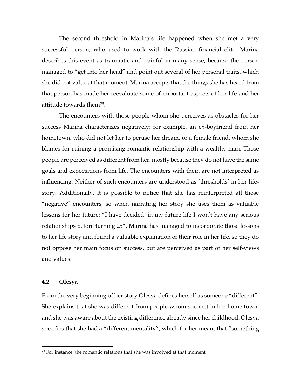The second threshold in Marina's life happened when she met a very successful person, who used to work with the Russian financial elite. Marina describes this event as traumatic and painful in many sense, because the person managed to "get into her head" and point out several of her personal traits, which she did not value at that moment. Marina accepts that the things she has heard from that person has made her reevaluate some of important aspects of her life and her attitude towards them23.

The encounters with those people whom she perceives as obstacles for her success Marina characterizes negatively: for example, an ex-boyfriend from her hometown, who did not let her to peruse her dream, or a female friend, whom she blames for ruining a promising romantic relationship with a wealthy man. Those people are perceived as different from her, mostly because they do not have the same goals and expectations form life. The encounters with them are not interpreted as influencing. Neither of such encounters are understood as 'thresholds' in her lifestory. Additionally, it is possible to notice that she has reinterpreted all those "negative" encounters, so when narrating her story she uses them as valuable lessons for her future: "I have decided: in my future life I won't have any serious relationships before turning 25". Marina has managed to incorporate those lessons to her life story and found a valuable explanation of their role in her life, so they do not oppose her main focus on success, but are perceived as part of her self-views and values.

### **4.2 Olesya**

 $\ddot{\phantom{a}}$ 

From the very beginning of her story Olesya defines herself as someone "different". She explains that she was different from people whom she met in her home town, and she was aware about the existing difference already since her childhood. Olesya specifies that she had a "different mentality", which for her meant that "something

 $23$  For instance, the romantic relations that she was involved at that moment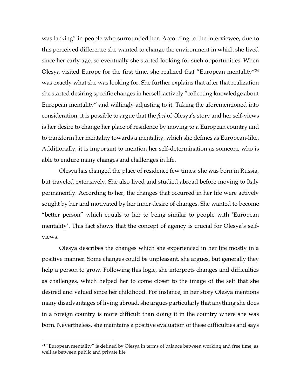was lacking" in people who surrounded her. According to the interviewee, due to this perceived difference she wanted to change the environment in which she lived since her early age, so eventually she started looking for such opportunities. When Olesya visited Europe for the first time, she realized that "European mentality"<sup>24</sup> was exactly what she was looking for. She further explains that after that realization she started desiring specific changes in herself, actively "collecting knowledge about European mentality" and willingly adjusting to it. Taking the aforementioned into consideration, it is possible to argue that the *foci* of Olesya's story and her self-views is her desire to change her place of residence by moving to a European country and to transform her mentality towards a mentality, which she defines as European-like. Additionally, it is important to mention her self-determination as someone who is able to endure many changes and challenges in life.

Olesya has changed the place of residence few times: she was born in Russia, but traveled extensively. She also lived and studied abroad before moving to Italy permanently. According to her, the changes that occurred in her life were actively sought by her and motivated by her inner desire of changes. She wanted to become "better person" which equals to her to being similar to people with 'European mentality'. This fact shows that the concept of agency is crucial for Olesya's selfviews.

Olesya describes the changes which she experienced in her life mostly in a positive manner. Some changes could be unpleasant, she argues, but generally they help a person to grow. Following this logic, she interprets changes and difficulties as challenges, which helped her to come closer to the image of the self that she desired and valued since her childhood. For instance, in her story Olesya mentions many disadvantages of living abroad, she argues particularly that anything she does in a foreign country is more difficult than doing it in the country where she was born. Nevertheless, she maintains a positive evaluation of these difficulties and says

<sup>&</sup>lt;sup>24</sup> "European mentality" is defined by Olesya in terms of balance between working and free time, as well as between public and private life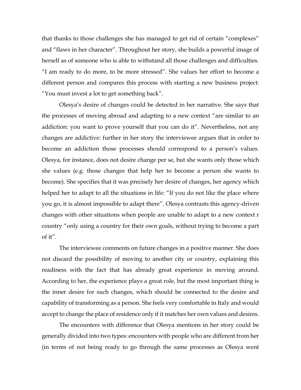that thanks to those challenges she has managed to get rid of certain "complexes" and "flaws in her character". Throughout her story, she builds a powerful image of herself as of someone who is able to withstand all those challenges and difficulties. "I am ready to do more, to be more stressed". She values her effort to become a different person and compares this process with starting a new business project: "You must invest a lot to get something back".

Olesya's desire of changes could be detected in her narrative. She says that the processes of moving abroad and adapting to a new context "are similar to an addiction: you want to prove yourself that you can do it". Nevertheless, not any changes are addictive: further in her story the interviewee argues that in order to become an addiction those processes should correspond to a person's values. Olesya, for instance, does not desire change per se, but she wants only those which she values (e.g. those changes that help her to become a person she wants to become). She specifies that it was precisely her desire of changes, her agency which helped her to adapt to all the situations in life: "If you do not like the place where you go, it is almost impossible to adapt there". Olesya contrasts this agency-driven changes with other situations when people are unable to adapt to a new context r country "only using a country for their own goals, without trying to become a part of it".

The interviewee comments on future changes in a positive manner. She does not discard the possibility of moving to another city or country, explaining this readiness with the fact that has already great experience in moving around. According to her, the experience plays a great role, but the most important thing is the inner desire for such changes, which should be connected to the desire and capability of transforming as a person. She feels very comfortable in Italy and would accept to change the place of residence only if it matches her own values and desires.

The encounters with difference that Olesya mentions in her story could be generally divided into two types: encounters with people who are different from her (in terms of not being ready to go through the same processes as Olesya went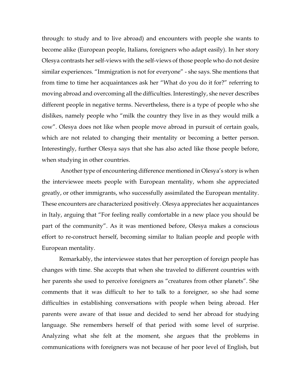through: to study and to live abroad) and encounters with people she wants to become alike (European people, Italians, foreigners who adapt easily). In her story Olesya contrasts her self-views with the self-views of those people who do not desire similar experiences. "Immigration is not for everyone" - she says. She mentions that from time to time her acquaintances ask her "What do you do it for?" referring to moving abroad and overcoming all the difficulties. Interestingly, she never describes different people in negative terms. Nevertheless, there is a type of people who she dislikes, namely people who "milk the country they live in as they would milk a cow". Olesya does not like when people move abroad in pursuit of certain goals, which are not related to changing their mentality or becoming a better person. Interestingly, further Olesya says that she has also acted like those people before, when studying in other countries.

Another type of encountering difference mentioned in Olesya's story is when the interviewee meets people with European mentality, whom she appreciated greatly, or other immigrants, who successfully assimilated the European mentality. These encounters are characterized positively. Olesya appreciates her acquaintances in Italy, arguing that "For feeling really comfortable in a new place you should be part of the community". As it was mentioned before, Olesya makes a conscious effort to re-construct herself, becoming similar to Italian people and people with European mentality.

Remarkably, the interviewee states that her perception of foreign people has changes with time. She accepts that when she traveled to different countries with her parents she used to perceive foreigners as "creatures from other planets". She comments that it was difficult to her to talk to a foreigner, so she had some difficulties in establishing conversations with people when being abroad. Her parents were aware of that issue and decided to send her abroad for studying language. She remembers herself of that period with some level of surprise. Analyzing what she felt at the moment, she argues that the problems in communications with foreigners was not because of her poor level of English, but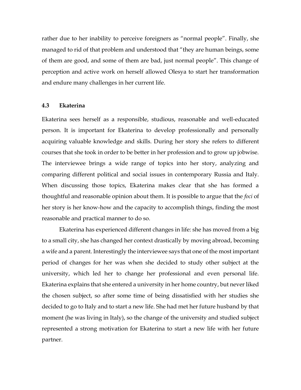rather due to her inability to perceive foreigners as "normal people". Finally, she managed to rid of that problem and understood that "they are human beings, some of them are good, and some of them are bad, just normal people". This change of perception and active work on herself allowed Olesya to start her transformation and endure many challenges in her current life.

#### **4.3 Ekaterina**

Ekaterina sees herself as a responsible, studious, reasonable and well-educated person. It is important for Ekaterina to develop professionally and personally acquiring valuable knowledge and skills. During her story she refers to different courses that she took in order to be better in her profession and to grow up jobwise. The interviewee brings a wide range of topics into her story, analyzing and comparing different political and social issues in contemporary Russia and Italy. When discussing those topics, Ekaterina makes clear that she has formed a thoughtful and reasonable opinion about them. It is possible to argue that the *foci* of her story is her know-how and the capacity to accomplish things, finding the most reasonable and practical manner to do so.

Ekaterina has experienced different changes in life: she has moved from a big to a small city, she has changed her context drastically by moving abroad, becoming a wife and a parent. Interestingly the interviewee says that one of the most important period of changes for her was when she decided to study other subject at the university, which led her to change her professional and even personal life. Ekaterina explains that she entered a university in her home country, but never liked the chosen subject, so after some time of being dissatisfied with her studies she decided to go to Italy and to start a new life. She had met her future husband by that moment (he was living in Italy), so the change of the university and studied subject represented a strong motivation for Ekaterina to start a new life with her future partner.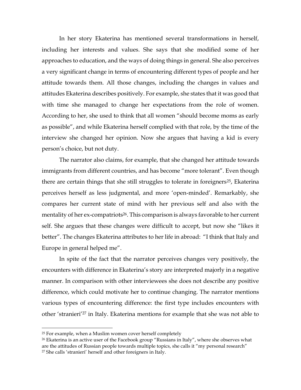In her story Ekaterina has mentioned several transformations in herself, including her interests and values. She says that she modified some of her approaches to education, and the ways of doing things in general. She also perceives a very significant change in terms of encountering different types of people and her attitude towards them. All those changes, including the changes in values and attitudes Ekaterina describes positively. For example, she states that it was good that with time she managed to change her expectations from the role of women. According to her, she used to think that all women "should become moms as early as possible", and while Ekaterina herself complied with that role, by the time of the interview she changed her opinion. Now she argues that having a kid is every person's choice, but not duty.

The narrator also claims, for example, that she changed her attitude towards immigrants from different countries, and has become "more tolerant". Even though there are certain things that she still struggles to tolerate in foreigners<sup>25</sup>, Ekaterina perceives herself as less judgmental, and more 'open-minded'. Remarkably, she compares her current state of mind with her previous self and also with the mentality of her ex-compatriots<sup>26</sup>. This comparison is always favorable to her current self. She argues that these changes were difficult to accept, but now she "likes it better". The changes Ekaterina attributes to her life in abroad: "I think that Italy and Europe in general helped me".

In spite of the fact that the narrator perceives changes very positively, the encounters with difference in Ekaterina's story are interpreted majorly in a negative manner. In comparison with other interviewees she does not describe any positive difference, which could motivate her to continue changing. The narrator mentions various types of encountering difference: the first type includes encounters with other 'stranieri'<sup>27</sup> in Italy. Ekaterina mentions for example that she was not able to

 $25$  For example, when a Muslim women cover herself completely

<sup>&</sup>lt;sup>26</sup> Ekaterina is an active user of the Facebook group "Russians in Italy", where she observes what are the attitudes of Russian people towards multiple topics, she calls it "my personal research" <sup>27</sup> She calls 'stranieri' herself and other foreigners in Italy.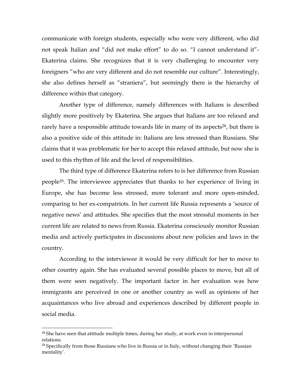communicate with foreign students, especially who were very different, who did not speak Italian and "did not make effort" to do so. "I cannot understand it"- Ekaterina claims. She recognizes that it is very challenging to encounter very foreigners "who are very different and do not resemble our culture". Interestingly, she also defines herself as "straniera", but seemingly there is the hierarchy of difference within that category.

Another type of difference, namely differences with Italians is described slightly more positively by Ekaterina. She argues that Italians are too relaxed and rarely have a responsible attitude towards life in many of its aspects<sup>28</sup>, but there is also a positive side of this attitude in: Italians are less stressed than Russians. She claims that it was problematic for her to accept this relaxed attitude, but now she is used to this rhythm of life and the level of responsibilities.

The third type of difference Ekaterina refers to is her difference from Russian people29. The interviewee appreciates that thanks to her experience of living in Europe, she has become less stressed, more tolerant and more open-minded, comparing to her ex-compatriots. In her current life Russia represents a 'source of negative news' and attitudes. She specifies that the most stressful moments in her current life are related to news from Russia. Ekaterina consciously monitor Russian media and actively participates in discussions about new policies and laws in the country.

According to the interviewee it would be very difficult for her to move to other country again. She has evaluated several possible places to move, but all of them were seen negatively. The important factor in her evaluation was how immigrants are perceived in one or another country as well as opinions of her acquaintances who live abroad and experiences described by different people in social media.

<sup>&</sup>lt;sup>28</sup> She have seen that attitude multiple times, during her study, at work even in interpersonal relations.

 $29$  Specifically from those Russians who live in Russia or in Italy, without changing their 'Russian mentality'.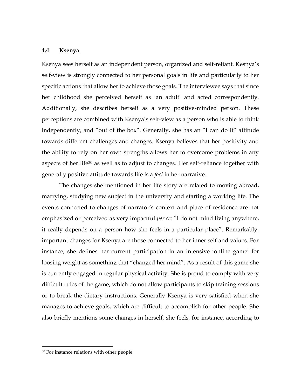### **4.4 Ksenya**

Ksenya sees herself as an independent person, organized and self-reliant. Kesnya's self-view is strongly connected to her personal goals in life and particularly to her specific actions that allow her to achieve those goals. The interviewee says that since her childhood she perceived herself as 'an adult' and acted correspondently. Additionally, she describes herself as a very positive-minded person. These perceptions are combined with Ksenya's self-view as a person who is able to think independently, and "out of the box". Generally, she has an "I can do it" attitude towards different challenges and changes. Ksenya believes that her positivity and the ability to rely on her own strengths allows her to overcome problems in any aspects of her life<sup>30</sup> as well as to adjust to changes. Her self-reliance together with generally positive attitude towards life is a *foci* in her narrative.

The changes she mentioned in her life story are related to moving abroad, marrying, studying new subject in the university and starting a working life. The events connected to changes of narrator's context and place of residence are not emphasized or perceived as very impactful *per se*: "I do not mind living anywhere, it really depends on a person how she feels in a particular place". Remarkably, important changes for Ksenya are those connected to her inner self and values. For instance, she defines her current participation in an intensive 'online game' for loosing weight as something that "changed her mind". As a result of this game she is currently engaged in regular physical activity. She is proud to comply with very difficult rules of the game, which do not allow participants to skip training sessions or to break the dietary instructions. Generally Ksenya is very satisfied when she manages to achieve goals, which are difficult to accomplish for other people. She also briefly mentions some changes in herself, she feels, for instance, according to

 $\ddot{\phantom{a}}$ 

<sup>30</sup> For instance relations with other people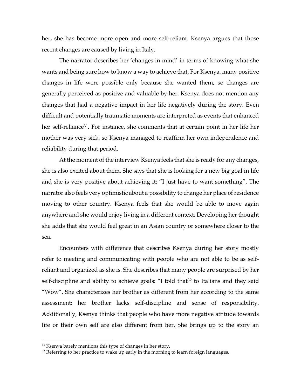her, she has become more open and more self-reliant. Ksenya argues that those recent changes are caused by living in Italy.

The narrator describes her 'changes in mind' in terms of knowing what she wants and being sure how to know a way to achieve that. For Ksenya, many positive changes in life were possible only because she wanted them, so changes are generally perceived as positive and valuable by her. Ksenya does not mention any changes that had a negative impact in her life negatively during the story. Even difficult and potentially traumatic moments are interpreted as events that enhanced her self-reliance<sup>31</sup>. For instance, she comments that at certain point in her life her mother was very sick, so Ksenya managed to reaffirm her own independence and reliability during that period.

At the moment of the interview Ksenya feels that she is ready for any changes, she is also excited about them. She says that she is looking for a new big goal in life and she is very positive about achieving it: "I just have to want something". The narrator also feels very optimistic about a possibility to change her place of residence moving to other country. Ksenya feels that she would be able to move again anywhere and she would enjoy living in a different context. Developing her thought she adds that she would feel great in an Asian country or somewhere closer to the sea.

Encounters with difference that describes Ksenya during her story mostly refer to meeting and communicating with people who are not able to be as selfreliant and organized as she is. She describes that many people are surprised by her self-discipline and ability to achieve goals: "I told that<sup>32</sup> to Italians and they said "Wow". She characterizes her brother as different from her according to the same assessment: her brother lacks self-discipline and sense of responsibility. Additionally, Ksenya thinks that people who have more negative attitude towards life or their own self are also different from her. She brings up to the story an

<sup>&</sup>lt;sup>31</sup> Ksenya barely mentions this type of changes in her story.

 $32$  Referring to her practice to wake up early in the morning to learn foreign languages.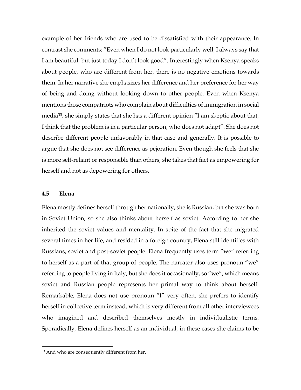example of her friends who are used to be dissatisfied with their appearance. In contrast she comments: "Even when I do not look particularly well, I always say that I am beautiful, but just today I don't look good". Interestingly when Ksenya speaks about people, who are different from her, there is no negative emotions towards them. In her narrative she emphasizes her difference and her preference for her way of being and doing without looking down to other people. Even when Ksenya mentions those compatriots who complain about difficulties of immigration in social media<sup>33</sup>, she simply states that she has a different opinion "I am skeptic about that, I think that the problem is in a particular person, who does not adapt". She does not describe different people unfavorably in that case and generally. It is possible to argue that she does not see difference as pejoration. Even though she feels that she is more self-reliant or responsible than others, she takes that fact as empowering for herself and not as depowering for others.

#### **4.5 Elena**

 $\ddot{\phantom{a}}$ 

Elena mostly defines herself through her nationally, she is Russian, but she was born in Soviet Union, so she also thinks about herself as soviet. According to her she inherited the soviet values and mentality. In spite of the fact that she migrated several times in her life, and resided in a foreign country, Elena still identifies with Russians, soviet and post-soviet people. Elena frequently uses term "we" referring to herself as a part of that group of people. The narrator also uses pronoun "we" referring to people living in Italy, but she does it occasionally, so "we", which means soviet and Russian people represents her primal way to think about herself. Remarkable, Elena does not use pronoun "I" very often, she prefers to identify herself in collective term instead, which is very different from all other interviewees who imagined and described themselves mostly in individualistic terms. Sporadically, Elena defines herself as an individual, in these cases she claims to be

<sup>&</sup>lt;sup>33</sup> And who are consequently different from her.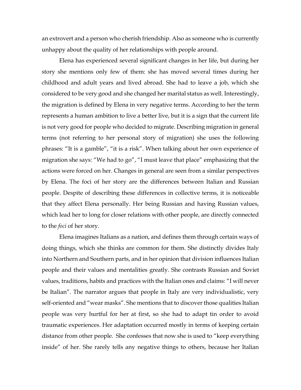an extrovert and a person who cherish friendship. Also as someone who is currently unhappy about the quality of her relationships with people around.

Elena has experienced several significant changes in her life, but during her story she mentions only few of them: she has moved several times during her childhood and adult years and lived abroad. She had to leave a job, which she considered to be very good and she changed her marital status as well. Interestingly, the migration is defined by Elena in very negative terms. According to her the term represents a human ambition to live a better live, but it is a sign that the current life is not very good for people who decided to migrate. Describing migration in general terms (not referring to her personal story of migration) she uses the following phrases: "It is a gamble", "it is a risk". When talking about her own experience of migration she says: "We had to go", "I must leave that place" emphasizing that the actions were forced on her. Changes in general are seen from a similar perspectives by Elena. The foci of her story are the differences between Italian and Russian people. Despite of describing these differences in collective terms, it is noticeable that they affect Elena personally. Her being Russian and having Russian values, which lead her to long for closer relations with other people, are directly connected to the *foci* of her story.

Elena imagines Italians as a nation, and defines them through certain ways of doing things, which she thinks are common for them. She distinctly divides Italy into Northern and Southern parts, and in her opinion that division influences Italian people and their values and mentalities greatly. She contrasts Russian and Soviet values, traditions, habits and practices with the Italian ones and claims: "I will never be Italian". The narrator argues that people in Italy are very individualistic, very self-oriented and "wear masks". She mentions that to discover those qualities Italian people was very hurtful for her at first, so she had to adapt tin order to avoid traumatic experiences. Her adaptation occurred mostly in terms of keeping certain distance from other people. She confesses that now she is used to "keep everything inside" of her. She rarely tells any negative things to others, because her Italian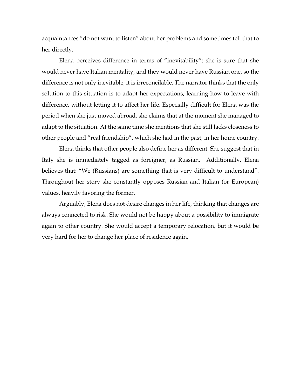acquaintances "do not want to listen" about her problems and sometimes tell that to her directly.

Elena perceives difference in terms of "inevitability": she is sure that she would never have Italian mentality, and they would never have Russian one, so the difference is not only inevitable, it is irreconcilable. The narrator thinks that the only solution to this situation is to adapt her expectations, learning how to leave with difference, without letting it to affect her life. Especially difficult for Elena was the period when she just moved abroad, she claims that at the moment she managed to adapt to the situation. At the same time she mentions that she still lacks closeness to other people and "real friendship", which she had in the past, in her home country.

Elena thinks that other people also define her as different. She suggest that in Italy she is immediately tagged as foreigner, as Russian. Additionally, Elena believes that: "We (Russians) are something that is very difficult to understand". Throughout her story she constantly opposes Russian and Italian (or European) values, heavily favoring the former.

Arguably, Elena does not desire changes in her life, thinking that changes are always connected to risk. She would not be happy about a possibility to immigrate again to other country. She would accept a temporary relocation, but it would be very hard for her to change her place of residence again.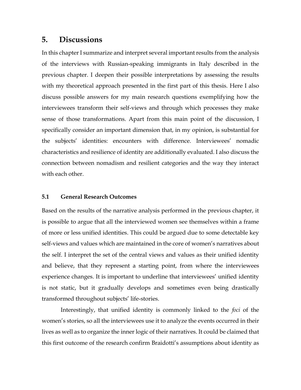# **5. Discussions**

In this chapter I summarize and interpret several important results from the analysis of the interviews with Russian-speaking immigrants in Italy described in the previous chapter. I deepen their possible interpretations by assessing the results with my theoretical approach presented in the first part of this thesis. Here I also discuss possible answers for my main research questions exemplifying how the interviewees transform their self-views and through which processes they make sense of those transformations. Apart from this main point of the discussion, I specifically consider an important dimension that, in my opinion, is substantial for the subjects' identities: encounters with difference. Interviewees' nomadic characteristics and resilience of identity are additionally evaluated. I also discuss the connection between nomadism and resilient categories and the way they interact with each other.

# **5.1 General Research Outcomes**

Based on the results of the narrative analysis performed in the previous chapter, it is possible to argue that all the interviewed women see themselves within a frame of more or less unified identities. This could be argued due to some detectable key self-views and values which are maintained in the core of women's narratives about the self. I interpret the set of the central views and values as their unified identity and believe, that they represent a starting point, from where the interviewees experience changes. It is important to underline that interviewees' unified identity is not static, but it gradually develops and sometimes even being drastically transformed throughout subjects' life-stories.

Interestingly, that unified identity is commonly linked to the *foci* of the women's stories, so all the interviewees use it to analyze the events occurred in their lives as well as to organize the inner logic of their narratives. It could be claimed that this first outcome of the research confirm Braidotti's assumptions about identity as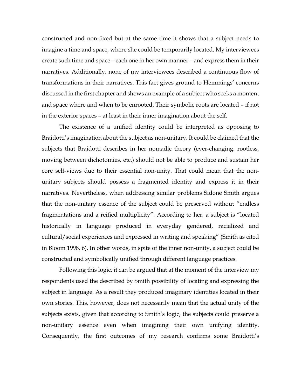constructed and non-fixed but at the same time it shows that a subject needs to imagine a time and space, where she could be temporarily located. My interviewees create such time and space – each one in her own manner – and express them in their narratives. Additionally, none of my interviewees described a continuous flow of transformations in their narratives. This fact gives ground to Hemmings' concerns discussed in the first chapter and shows an example of a subject who seeks a moment and space where and when to be enrooted. Their symbolic roots are located – if not in the exterior spaces – at least in their inner imagination about the self.

The existence of a unified identity could be interpreted as opposing to Braidotti's imagination about the subject as non-unitary. It could be claimed that the subjects that Braidotti describes in her nomadic theory (ever-changing, rootless, moving between dichotomies, etc.) should not be able to produce and sustain her core self-views due to their essential non-unity. That could mean that the nonunitary subjects should possess a fragmented identity and express it in their narratives. Nevertheless, when addressing similar problems Sidone Smith argues that the non-unitary essence of the subject could be preserved without "endless fragmentations and a reified multiplicity". According to her, a subject is "located historically in language produced in everyday gendered, racialized and cultural/social experiences and expressed in writing and speaking" (Smith as cited in Bloom 1998, 6). In other words, in spite of the inner non-unity, a subject could be constructed and symbolically unified through different language practices.

Following this logic, it can be argued that at the moment of the interview my respondents used the described by Smith possibility of locating and expressing the subject in language. As a result they produced imaginary identities located in their own stories. This, however, does not necessarily mean that the actual unity of the subjects exists, given that according to Smith's logic, the subjects could preserve a non-unitary essence even when imagining their own unifying identity. Consequently, the first outcomes of my research confirms some Braidotti's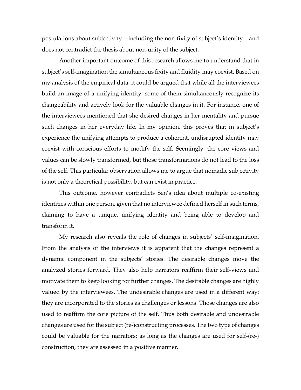postulations about subjectivity – including the non-fixity of subject's identity – and does not contradict the thesis about non-unity of the subject.

Another important outcome of this research allows me to understand that in subject's self-imagination the simultaneous fixity and fluidity may coexist. Based on my analysis of the empirical data, it could be argued that while all the interviewees build an image of a unifying identity, some of them simultaneously recognize its changeability and actively look for the valuable changes in it. For instance, one of the interviewees mentioned that she desired changes in her mentality and pursue such changes in her everyday life. In my opinion, this proves that in subject's experience the unifying attempts to produce a coherent, undisrupted identity may coexist with conscious efforts to modify the self. Seemingly, the core views and values can be slowly transformed, but those transformations do not lead to the loss of the self. This particular observation allows me to argue that nomadic subjectivity is not only a theoretical possibility, but can exist in practice.

This outcome, however contradicts Sen's idea about multiple co-existing identities within one person, given that no interviewee defined herself in such terms, claiming to have a unique, unifying identity and being able to develop and transform it.

My research also reveals the role of changes in subjects' self-imagination. From the analysis of the interviews it is apparent that the changes represent a dynamic component in the subjects' stories. The desirable changes move the analyzed stories forward. They also help narrators reaffirm their self-views and motivate them to keep looking for further changes. The desirable changes are highly valued by the interviewees. The undesirable changes are used in a different way: they are incorporated to the stories as challenges or lessons. Those changes are also used to reaffirm the core picture of the self. Thus both desirable and undesirable changes are used for the subject (re-)constructing processes. The two type of changes could be valuable for the narrators: as long as the changes are used for self-(re-) construction, they are assessed in a positive manner.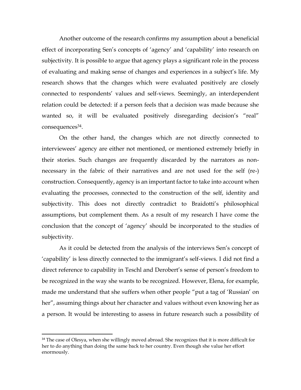Another outcome of the research confirms my assumption about a beneficial effect of incorporating Sen's concepts of 'agency' and 'capability' into research on subjectivity. It is possible to argue that agency plays a significant role in the process of evaluating and making sense of changes and experiences in a subject's life. My research shows that the changes which were evaluated positively are closely connected to respondents' values and self-views. Seemingly, an interdependent relation could be detected: if a person feels that a decision was made because she wanted so, it will be evaluated positively disregarding decision's "real" consequences<sup>34</sup>.

On the other hand, the changes which are not directly connected to interviewees' agency are either not mentioned, or mentioned extremely briefly in their stories. Such changes are frequently discarded by the narrators as nonnecessary in the fabric of their narratives and are not used for the self (re-) construction. Consequently, agency is an important factor to take into account when evaluating the processes, connected to the construction of the self, identity and subjectivity. This does not directly contradict to Braidotti's philosophical assumptions, but complement them. As a result of my research I have come the conclusion that the concept of 'agency' should be incorporated to the studies of subjectivity.

As it could be detected from the analysis of the interviews Sen's concept of 'capability' is less directly connected to the immigrant's self-views. I did not find a direct reference to capability in Teschl and Derobert's sense of person's freedom to be recognized in the way she wants to be recognized. However, Elena, for example, made me understand that she suffers when other people "put a tag of 'Russian' on her", assuming things about her character and values without even knowing her as a person. It would be interesting to assess in future research such a possibility of

<sup>&</sup>lt;sup>34</sup> The case of Olesya, when she willingly moved abroad. She recognizes that it is more difficult for her to do anything than doing the same back to her country. Even though she value her effort enormously.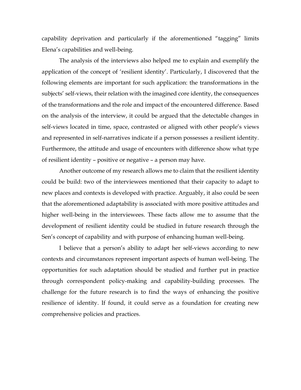capability deprivation and particularly if the aforementioned "tagging" limits Elena's capabilities and well-being.

The analysis of the interviews also helped me to explain and exemplify the application of the concept of 'resilient identity'. Particularly, I discovered that the following elements are important for such application: the transformations in the subjects' self-views, their relation with the imagined core identity, the consequences of the transformations and the role and impact of the encountered difference. Based on the analysis of the interview, it could be argued that the detectable changes in self-views located in time, space, contrasted or aligned with other people's views and represented in self-narratives indicate if a person possesses a resilient identity. Furthermore, the attitude and usage of encounters with difference show what type of resilient identity – positive or negative – a person may have.

Another outcome of my research allows me to claim that the resilient identity could be build: two of the interviewees mentioned that their capacity to adapt to new places and contexts is developed with practice. Arguably, it also could be seen that the aforementioned adaptability is associated with more positive attitudes and higher well-being in the interviewees. These facts allow me to assume that the development of resilient identity could be studied in future research through the Sen's concept of capability and with purpose of enhancing human well-being.

I believe that a person's ability to adapt her self-views according to new contexts and circumstances represent important aspects of human well-being. The opportunities for such adaptation should be studied and further put in practice through correspondent policy-making and capability-building processes. The challenge for the future research is to find the ways of enhancing the positive resilience of identity. If found, it could serve as a foundation for creating new comprehensive policies and practices.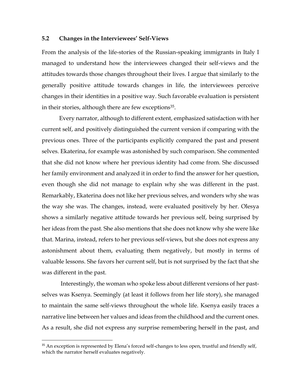#### **5.2 Changes in the Interviewees' Self-Views**

From the analysis of the life-stories of the Russian-speaking immigrants in Italy I managed to understand how the interviewees changed their self-views and the attitudes towards those changes throughout their lives. I argue that similarly to the generally positive attitude towards changes in life, the interviewees perceive changes in their identities in a positive way. Such favorable evaluation is persistent in their stories, although there are few exceptions<sup>35</sup>.

Every narrator, although to different extent, emphasized satisfaction with her current self, and positively distinguished the current version if comparing with the previous ones. Three of the participants explicitly compared the past and present selves. Ekaterina, for example was astonished by such comparison. She commented that she did not know where her previous identity had come from. She discussed her family environment and analyzed it in order to find the answer for her question, even though she did not manage to explain why she was different in the past. Remarkably, Ekaterina does not like her previous selves, and wonders why she was the way she was. The changes, instead, were evaluated positively by her. Olesya shows a similarly negative attitude towards her previous self, being surprised by her ideas from the past. She also mentions that she does not know why she were like that. Marina, instead, refers to her previous self-views, but she does not express any astonishment about them, evaluating them negatively, but mostly in terms of valuable lessons. She favors her current self, but is not surprised by the fact that she was different in the past.

Interestingly, the woman who spoke less about different versions of her pastselves was Ksenya. Seemingly (at least it follows from her life story), she managed to maintain the same self-views throughout the whole life. Ksenya easily traces a narrative line between her values and ideas from the childhood and the current ones. As a result, she did not express any surprise remembering herself in the past, and

<sup>&</sup>lt;sup>35</sup> An exception is represented by Elena's forced self-changes to less open, trustful and friendly self, which the narrator herself evaluates negatively.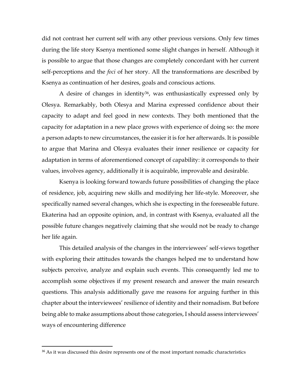did not contrast her current self with any other previous versions. Only few times during the life story Ksenya mentioned some slight changes in herself. Although it is possible to argue that those changes are completely concordant with her current self-perceptions and the *foci* of her story. All the transformations are described by Ksenya as continuation of her desires, goals and conscious actions.

A desire of changes in identity<sup>36</sup>, was enthusiastically expressed only by Olesya. Remarkably, both Olesya and Marina expressed confidence about their capacity to adapt and feel good in new contexts. They both mentioned that the capacity for adaptation in a new place grows with experience of doing so: the more a person adapts to new circumstances, the easier it is for her afterwards. It is possible to argue that Marina and Olesya evaluates their inner resilience or capacity for adaptation in terms of aforementioned concept of capability: it corresponds to their values, involves agency, additionally it is acquirable, improvable and desirable.

Ksenya is looking forward towards future possibilities of changing the place of residence, job, acquiring new skills and modifying her life-style. Moreover, she specifically named several changes, which she is expecting in the foreseeable future. Ekaterina had an opposite opinion, and, in contrast with Ksenya, evaluated all the possible future changes negatively claiming that she would not be ready to change her life again.

This detailed analysis of the changes in the interviewees' self-views together with exploring their attitudes towards the changes helped me to understand how subjects perceive, analyze and explain such events. This consequently led me to accomplish some objectives if my present research and answer the main research questions. This analysis additionally gave me reasons for arguing further in this chapter about the interviewees' resilience of identity and their nomadism. But before being able to make assumptions about those categories, I should assess interviewees' ways of encountering difference

 $\ddot{\phantom{a}}$ 

<sup>&</sup>lt;sup>36</sup> As it was discussed this desire represents one of the most important nomadic characteristics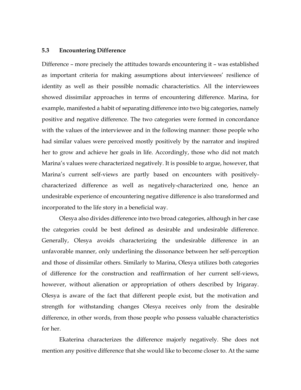#### **5.3 Encountering Difference**

Difference – more precisely the attitudes towards encountering it – was established as important criteria for making assumptions about interviewees' resilience of identity as well as their possible nomadic characteristics. All the interviewees showed dissimilar approaches in terms of encountering difference. Marina, for example, manifested a habit of separating difference into two big categories, namely positive and negative difference. The two categories were formed in concordance with the values of the interviewee and in the following manner: those people who had similar values were perceived mostly positively by the narrator and inspired her to grow and achieve her goals in life. Accordingly, those who did not match Marina's values were characterized negatively. It is possible to argue, however, that Marina's current self-views are partly based on encounters with positivelycharacterized difference as well as negatively-characterized one, hence an undesirable experience of encountering negative difference is also transformed and incorporated to the life story in a beneficial way.

Olesya also divides difference into two broad categories, although in her case the categories could be best defined as desirable and undesirable difference. Generally, Olesya avoids characterizing the undesirable difference in an unfavorable manner, only underlining the dissonance between her self-perception and those of dissimilar others. Similarly to Marina, Olesya utilizes both categories of difference for the construction and reaffirmation of her current self-views, however, without alienation or appropriation of others described by Irigaray. Olesya is aware of the fact that different people exist, but the motivation and strength for withstanding changes Olesya receives only from the desirable difference, in other words, from those people who possess valuable characteristics for her.

Ekaterina characterizes the difference majorly negatively. She does not mention any positive difference that she would like to become closer to. At the same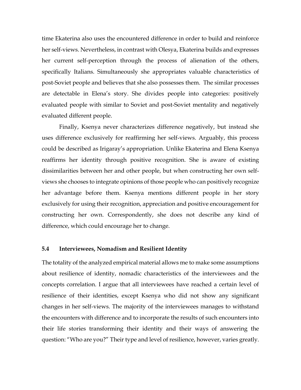time Ekaterina also uses the encountered difference in order to build and reinforce her self-views. Nevertheless, in contrast with Olesya, Ekaterina builds and expresses her current self-perception through the process of alienation of the others, specifically Italians. Simultaneously she appropriates valuable characteristics of post-Soviet people and believes that she also possesses them. The similar processes are detectable in Elena's story. She divides people into categories: positively evaluated people with similar to Soviet and post-Soviet mentality and negatively evaluated different people.

Finally, Ksenya never characterizes difference negatively, but instead she uses difference exclusively for reaffirming her self-views. Arguably, this process could be described as Irigaray's appropriation. Unlike Ekaterina and Elena Ksenya reaffirms her identity through positive recognition. She is aware of existing dissimilarities between her and other people, but when constructing her own selfviews she chooses to integrate opinions of those people who can positively recognize her advantage before them. Ksenya mentions different people in her story exclusively for using their recognition, appreciation and positive encouragement for constructing her own. Correspondently, she does not describe any kind of difference, which could encourage her to change.

#### **5.4 Interviewees, Nomadism and Resilient Identity**

The totality of the analyzed empirical material allows me to make some assumptions about resilience of identity, nomadic characteristics of the interviewees and the concepts correlation. I argue that all interviewees have reached a certain level of resilience of their identities, except Ksenya who did not show any significant changes in her self-views. The majority of the interviewees manages to withstand the encounters with difference and to incorporate the results of such encounters into their life stories transforming their identity and their ways of answering the question: "Who are you?" Their type and level of resilience, however, varies greatly.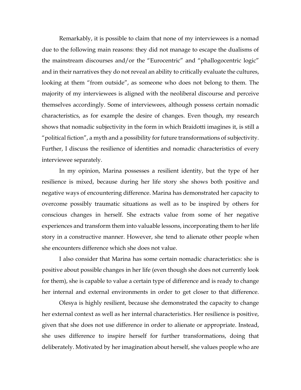Remarkably, it is possible to claim that none of my interviewees is a nomad due to the following main reasons: they did not manage to escape the dualisms of the mainstream discourses and/or the "Eurocentric" and "phallogocentric logic" and in their narratives they do not reveal an ability to critically evaluate the cultures, looking at them "from outside", as someone who does not belong to them. The majority of my interviewees is aligned with the neoliberal discourse and perceive themselves accordingly. Some of interviewees, although possess certain nomadic characteristics, as for example the desire of changes. Even though, my research shows that nomadic subjectivity in the form in which Braidotti imagines it, is still a "political fiction", a myth and a possibility for future transformations of subjectivity. Further, I discuss the resilience of identities and nomadic characteristics of every interviewee separately.

In my opinion, Marina possesses a resilient identity, but the type of her resilience is mixed, because during her life story she shows both positive and negative ways of encountering difference. Marina has demonstrated her capacity to overcome possibly traumatic situations as well as to be inspired by others for conscious changes in herself. She extracts value from some of her negative experiences and transform them into valuable lessons, incorporating them to her life story in a constructive manner. However, she tend to alienate other people when she encounters difference which she does not value.

I also consider that Marina has some certain nomadic characteristics: she is positive about possible changes in her life (even though she does not currently look for them), she is capable to value a certain type of difference and is ready to change her internal and external environments in order to get closer to that difference.

Olesya is highly resilient, because she demonstrated the capacity to change her external context as well as her internal characteristics. Her resilience is positive, given that she does not use difference in order to alienate or appropriate. Instead, she uses difference to inspire herself for further transformations, doing that deliberately. Motivated by her imagination about herself, she values people who are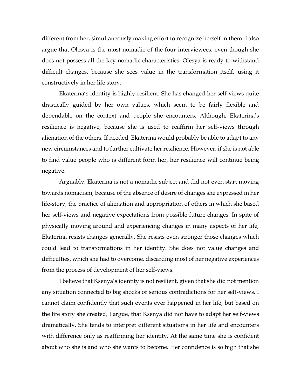different from her, simultaneously making effort to recognize herself in them. I also argue that Olesya is the most nomadic of the four interviewees, even though she does not possess all the key nomadic characteristics. Olesya is ready to withstand difficult changes, because she sees value in the transformation itself, using it constructively in her life story.

Ekaterina's identity is highly resilient. She has changed her self-views quite drastically guided by her own values, which seem to be fairly flexible and dependable on the context and people she encounters. Although, Ekaterina's resilience is negative, because she is used to reaffirm her self-views through alienation of the others. If needed, Ekaterina would probably be able to adapt to any new circumstances and to further cultivate her resilience. However, if she is not able to find value people who is different form her, her resilience will continue being negative.

Arguably, Ekaterina is not a nomadic subject and did not even start moving towards nomadism, because of the absence of desire of changes she expressed in her life-story, the practice of alienation and appropriation of others in which she based her self-views and negative expectations from possible future changes. In spite of physically moving around and experiencing changes in many aspects of her life, Ekaterina resists changes generally. She resists even stronger those changes which could lead to transformations in her identity. She does not value changes and difficulties, which she had to overcome, discarding most of her negative experiences from the process of development of her self-views.

I believe that Ksenya's identity is not resilient, given that she did not mention any situation connected to big shocks or serious contradictions for her self-views. I cannot claim confidently that such events ever happened in her life, but based on the life story she created, I argue, that Ksenya did not have to adapt her self-views dramatically. She tends to interpret different situations in her life and encounters with difference only as reaffirming her identity. At the same time she is confident about who she is and who she wants to become. Her confidence is so high that she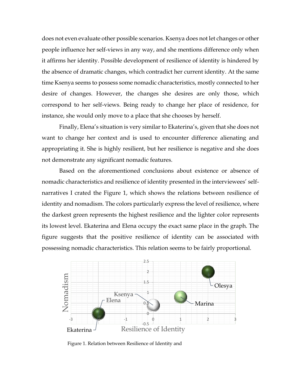does not even evaluate other possible scenarios. Ksenya does not let changes or other people influence her self-views in any way, and she mentions difference only when it affirms her identity. Possible development of resilience of identity is hindered by the absence of dramatic changes, which contradict her current identity. At the same time Ksenya seems to possess some nomadic characteristics, mostly connected to her desire of changes. However, the changes she desires are only those, which correspond to her self-views. Being ready to change her place of residence, for instance, she would only move to a place that she chooses by herself.

Finally, Elena's situation is very similar to Ekaterina's, given that she does not want to change her context and is used to encounter difference alienating and appropriating it. She is highly resilient, but her resilience is negative and she does not demonstrate any significant nomadic features.

Based on the aforementioned conclusions about existence or absence of nomadic characteristics and resilience of identity presented in the interviewees' selfnarratives I crated the Figure 1, which shows the relations between resilience of identity and nomadism. The colors particularly express the level of resilience, where the darkest green represents the highest resilience and the lighter color represents its lowest level. Ekaterina and Elena occupy the exact same place in the graph. The figure suggests that the positive resilience of identity can be associated with possessing nomadic characteristics. This relation seems to be fairly proportional.



Figure 1. Relation between Resilience of Identity and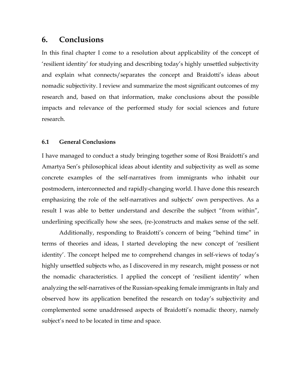# **6. Conclusions**

In this final chapter I come to a resolution about applicability of the concept of 'resilient identity' for studying and describing today's highly unsettled subjectivity and explain what connects/separates the concept and Braidotti's ideas about nomadic subjectivity. I review and summarize the most significant outcomes of my research and, based on that information, make conclusions about the possible impacts and relevance of the performed study for social sciences and future research.

# **6.1 General Conclusions**

I have managed to conduct a study bringing together some of Rosi Braidotti's and Amartya Sen's philosophical ideas about identity and subjectivity as well as some concrete examples of the self-narratives from immigrants who inhabit our postmodern, interconnected and rapidly-changing world. I have done this research emphasizing the role of the self-narratives and subjects' own perspectives. As a result I was able to better understand and describe the subject "from within", underlining specifically how she sees, (re-)constructs and makes sense of the self.

Additionally, responding to Braidotti's concern of being "behind time" in terms of theories and ideas, I started developing the new concept of 'resilient identity'. The concept helped me to comprehend changes in self-views of today's highly unsettled subjects who, as I discovered in my research, might possess or not the nomadic characteristics. I applied the concept of 'resilient identity' when analyzing the self-narratives of the Russian-speaking female immigrants in Italy and observed how its application benefited the research on today's subjectivity and complemented some unaddressed aspects of Braidotti's nomadic theory, namely subject's need to be located in time and space.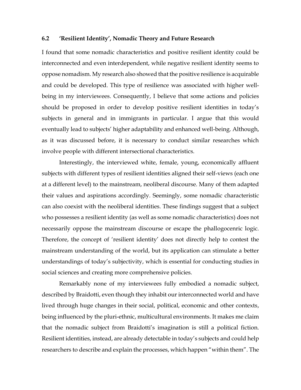## **6.2 'Resilient Identity', Nomadic Theory and Future Research**

I found that some nomadic characteristics and positive resilient identity could be interconnected and even interdependent, while negative resilient identity seems to oppose nomadism. My research also showed that the positive resilience is acquirable and could be developed. This type of resilience was associated with higher wellbeing in my interviewees. Consequently, I believe that some actions and policies should be proposed in order to develop positive resilient identities in today's subjects in general and in immigrants in particular. I argue that this would eventually lead to subjects' higher adaptability and enhanced well-being. Although, as it was discussed before, it is necessary to conduct similar researches which involve people with different intersectional characteristics.

Interestingly, the interviewed white, female, young, economically affluent subjects with different types of resilient identities aligned their self-views (each one at a different level) to the mainstream, neoliberal discourse. Many of them adapted their values and aspirations accordingly. Seemingly, some nomadic characteristic can also coexist with the neoliberal identities. These findings suggest that a subject who possesses a resilient identity (as well as some nomadic characteristics) does not necessarily oppose the mainstream discourse or escape the phallogocenric logic. Therefore, the concept of 'resilient identity' does not directly help to contest the mainstream understanding of the world, but its application can stimulate a better understandings of today's subjectivity, which is essential for conducting studies in social sciences and creating more comprehensive policies.

Remarkably none of my interviewees fully embodied a nomadic subject, described by Braidotti, even though they inhabit our interconnected world and have lived through huge changes in their social, political, economic and other contexts, being influenced by the pluri-ethnic, multicultural environments. It makes me claim that the nomadic subject from Braidotti's imagination is still a political fiction. Resilient identities, instead, are already detectable in today's subjects and could help researchers to describe and explain the processes, which happen "within them". The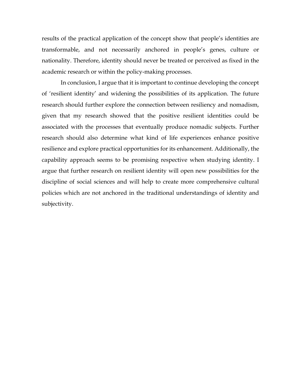results of the practical application of the concept show that people's identities are transformable, and not necessarily anchored in people's genes, culture or nationality. Therefore, identity should never be treated or perceived as fixed in the academic research or within the policy-making processes.

In conclusion, I argue that it is important to continue developing the concept of 'resilient identity' and widening the possibilities of its application. The future research should further explore the connection between resiliency and nomadism, given that my research showed that the positive resilient identities could be associated with the processes that eventually produce nomadic subjects. Further research should also determine what kind of life experiences enhance positive resilience and explore practical opportunities for its enhancement. Additionally, the capability approach seems to be promising respective when studying identity. I argue that further research on resilient identity will open new possibilities for the discipline of social sciences and will help to create more comprehensive cultural policies which are not anchored in the traditional understandings of identity and subjectivity.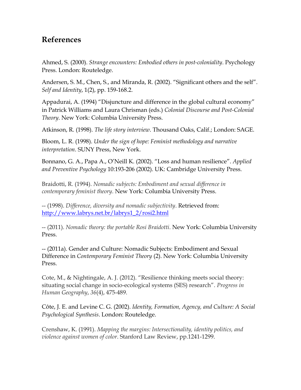## **References**

Ahmed, S. (2000). *Strange encounters: Embodied others in post-coloniality*. Psychology Press. London: Routeledge.

Andersen, S. M., Chen, S., and Miranda, R. (2002). "Significant others and the self". *Self and Identity*, 1(2), pp. 159-168.2.

Appadurai, A. (1994) "Disjuncture and difference in the global cultural economy" in Patrick Williams and Laura Chrisman (eds.) *Colonial Discourse and Post-Colonial Theory*. New York: Columbia University Press.

Atkinson, R. (1998). *The life story interview*. Thousand Oaks, Calif.; London: SAGE.

Bloom, L. R. (1998). *Under the sign of hope: Feminist methodology and narrative interpretation*. SUNY Press, New York.

Bonnano, G. A., Papa A., O'Neill K. (2002). "Loss and human resilience". *Applied and Preventive Psychology* 10:193-206 (2002). UK: Cambridge University Press.

Braidotti, R. (1994). *Nomadic subjects: Embodiment and sexual difference in contemporary feminist theory*. New York: Columbia University Press.

-- (1998). *Difference, diversity and nomadic subjectivity*. Retrieved from: [http://www.labrys.net.br/labrys1\\_2/rosi2.html](http://www.labrys.net.br/labrys1_2/rosi2.html)

-- (2011). *Nomadic theory: the portable Rosi Braidotti*. New York: Columbia University Press.

-- (2011a). Gender and Culture: Nomadic Subjects: Embodiment and Sexual Difference in *Contemporary Feminist Theory* (2). New York: Columbia University Press.

Cote, M., & Nightingale, A. J. (2012). "Resilience thinking meets social theory: situating social change in socio-ecological systems (SES) research". *Progress in Human Geography*, *36*(4), 475-489.

Côte, J. E. and Levine C. G. (2002). *Identity, Formation, Agency, and Culture: A Social Psychological Synthesis*. London: Routeledge.

Crenshaw, K. (1991). *Mapping the margins: Intersectionality, identity politics, and violence against women of color*. Stanford Law Review, pp.1241-1299.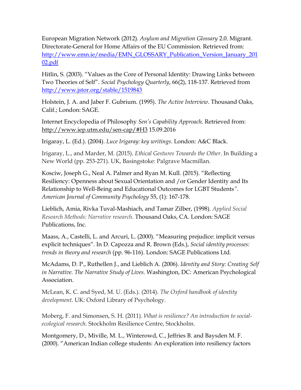European Migration Network (2012). *Asylum and Migration Glossary* 2.0. Migrant. Directorate-General for Home Affairs of the EU Commission. Retrieved from: [http://www.emn.ie/media/EMN\\_GLOSSARY\\_Publication\\_Version\\_January\\_201](http://www.emn.ie/media/EMN_GLOSSARY_Publication_Version_January_20102.pdf) [02.pdf](http://www.emn.ie/media/EMN_GLOSSARY_Publication_Version_January_20102.pdf)

Hitlin, S. (2003). "Values as the Core of Personal Identity: Drawing Links between Two Theories of Self". *Social Psychology Quarterly*, 66(2), 118-137. Retrieved from <http://www.jstor.org/stable/1519843>

Holstein, J. A. and Jaber F. Gubrium. (1995). *The Active Interview*. Thousand Oaks, Calif.; London: SAGE.

Internet Encyclopedia of Philosophy *Sen's Capability Approach.* Retrieved from: <http://www.iep.utm.edu/sen-cap/#H3> 15.09.2016

Irigaray, L. (Ed.). (2004). *Luce Irigaray: key writings*. London: A&C Black.

Irigaray, L., and Marder, M. (2015). *Ethical Gestures Towards the Other*. In Building a New World (pp. 253-271). UK, Basingstoke: Palgrave Macmillan.

Kosciw, Joseph G., Neal A. Palmer and Ryan M. Kull. (2015). "Reflecting Resiliency: Openness about Sexual Orientation and /or Gender Identity and Its Relationship to Well-Being and Educational Outcomes for LGBT Students*"*. *American Journal of Community Psychology* 55, (1): 167-178.

Lieblich, Amia, Rivka Tuval-Mashiach, and Tamar Zilber, (1998). *Applied Social Research Methods: Narrative research*. Thousand Oaks, CA. London: SAGE Publications, Inc.

Maass, A., Castelli, L. and Arcuri, L. (2000). "Measuring prejudice: implicit versus explicit techniques"*.* In D. Capozza and R. Brown (Eds.), *Social identity processes: trends in theory and research* (pp. 96-116). London: SAGE Publications Ltd.

McAdams, D. P., Ruthellen J., and Lieblich A. (2006). *Identity and Story*: *Creating Self in Narrative. The Narrative Study of Lives.* Washington, DC: American Psychological Association.

McLean, K. C. and Syed, M. U. (Eds.). (2014). *The Oxford handbook of identity development*. UK: Oxford Library of Psychology.

Moberg, F. and Simonsen, S. H. (2011). *What is resilience? An introduction to socialecological research*. Stockholm Resilience Centre, Stockholm.

Montgomery, D., Miville, M. L., Winterowd, C., Jeffries B. and Baysden M. F. (2000). "American Indian college students: An exploration into resiliency factors